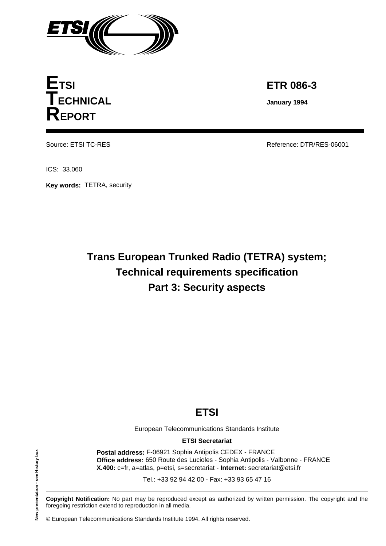



ICS: 33.060

**Key words:** TETRA, security

Source: ETSI TC-RES **Reference: DTR/RES-06001** 

**Trans European Trunked Radio (TETRA) system; Technical requirements specification Part 3: Security aspects**

# **ETSI**

European Telecommunications Standards Institute

## **ETSI Secretariat**

**Postal address:** F-06921 Sophia Antipolis CEDEX - FRANCE **Office address:** 650 Route des Lucioles - Sophia Antipolis - Valbonne - FRANCE **X.400:** c=fr, a=atlas, p=etsi, s=secretariat - **Internet:** secretariat@etsi.fr

Tel.: +33 92 94 42 00 - Fax: +33 93 65 47 16

**Copyright Notification:** No part may be reproduced except as authorized by written permission. The copyright and the foregoing restriction extend to reproduction in all media.

© European Telecommunications Standards Institute 1994. All rights reserved.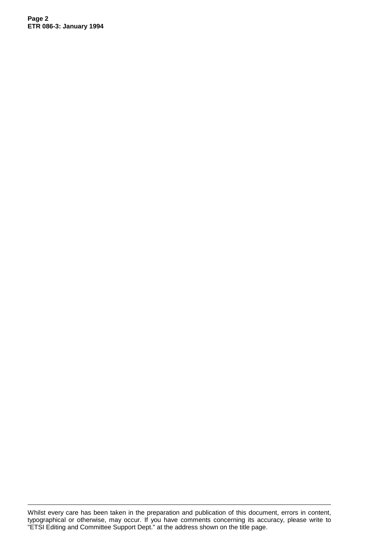**Page 2 ETR 086-3: January 1994**

Whilst every care has been taken in the preparation and publication of this document, errors in content, typographical or otherwise, may occur. If you have comments concerning its accuracy, please write to "ETSI Editing and Committee Support Dept." at the address shown on the title page.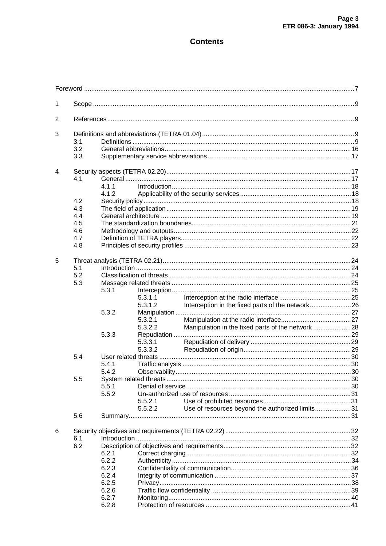## **Contents**

| 1              |     |       |         |                                                   |  |  |  |  |  |
|----------------|-----|-------|---------|---------------------------------------------------|--|--|--|--|--|
| $\overline{2}$ |     |       |         |                                                   |  |  |  |  |  |
| 3              |     |       |         |                                                   |  |  |  |  |  |
|                | 3.1 |       |         |                                                   |  |  |  |  |  |
|                | 3.2 |       |         |                                                   |  |  |  |  |  |
|                | 3.3 |       |         |                                                   |  |  |  |  |  |
|                |     |       |         |                                                   |  |  |  |  |  |
| 4              |     |       |         |                                                   |  |  |  |  |  |
|                | 4.1 |       |         |                                                   |  |  |  |  |  |
|                |     | 4.1.1 |         |                                                   |  |  |  |  |  |
|                |     | 4.1.2 |         |                                                   |  |  |  |  |  |
|                | 4.2 |       |         |                                                   |  |  |  |  |  |
|                | 4.3 |       |         |                                                   |  |  |  |  |  |
|                | 4.4 |       |         |                                                   |  |  |  |  |  |
|                | 4.5 |       |         |                                                   |  |  |  |  |  |
|                | 4.6 |       |         |                                                   |  |  |  |  |  |
|                | 4.7 |       |         |                                                   |  |  |  |  |  |
|                | 4.8 |       |         |                                                   |  |  |  |  |  |
| 5              |     |       |         |                                                   |  |  |  |  |  |
|                | 5.1 |       |         |                                                   |  |  |  |  |  |
|                | 5.2 |       |         |                                                   |  |  |  |  |  |
|                | 5.3 |       |         |                                                   |  |  |  |  |  |
|                |     | 5.3.1 |         |                                                   |  |  |  |  |  |
|                |     |       | 5.3.1.1 |                                                   |  |  |  |  |  |
|                |     |       | 5.3.1.2 | Interception in the fixed parts of the network26  |  |  |  |  |  |
|                |     | 5.3.2 |         |                                                   |  |  |  |  |  |
|                |     |       | 5.3.2.1 |                                                   |  |  |  |  |  |
|                |     |       | 5.3.2.2 | Manipulation in the fixed parts of the network 28 |  |  |  |  |  |
|                |     | 5.3.3 |         |                                                   |  |  |  |  |  |
|                |     |       | 5.3.3.1 |                                                   |  |  |  |  |  |
|                |     |       | 5.3.3.2 |                                                   |  |  |  |  |  |
|                | 5.4 |       |         |                                                   |  |  |  |  |  |
|                |     | 5.4.1 |         |                                                   |  |  |  |  |  |
|                |     | 5.4.2 |         |                                                   |  |  |  |  |  |
|                | 5.5 |       |         |                                                   |  |  |  |  |  |
|                |     | 5.5.1 |         |                                                   |  |  |  |  |  |
|                |     | 5.5.2 |         |                                                   |  |  |  |  |  |
|                |     |       | 5.5.2.1 |                                                   |  |  |  |  |  |
|                |     |       | 5.5.2.2 | Use of resources beyond the authorized limits31   |  |  |  |  |  |
|                | 5.6 |       |         |                                                   |  |  |  |  |  |
| 6              |     |       |         |                                                   |  |  |  |  |  |
|                | 6.1 |       |         |                                                   |  |  |  |  |  |
|                | 6.2 |       |         |                                                   |  |  |  |  |  |
|                |     | 6.2.1 |         |                                                   |  |  |  |  |  |
|                |     | 6.2.2 |         |                                                   |  |  |  |  |  |
|                |     | 6.2.3 |         |                                                   |  |  |  |  |  |
|                |     | 6.2.4 |         |                                                   |  |  |  |  |  |
|                |     | 6.2.5 |         |                                                   |  |  |  |  |  |
|                |     | 6.2.6 |         |                                                   |  |  |  |  |  |
|                |     | 6.2.7 |         |                                                   |  |  |  |  |  |
|                |     | 6.2.8 |         |                                                   |  |  |  |  |  |
|                |     |       |         |                                                   |  |  |  |  |  |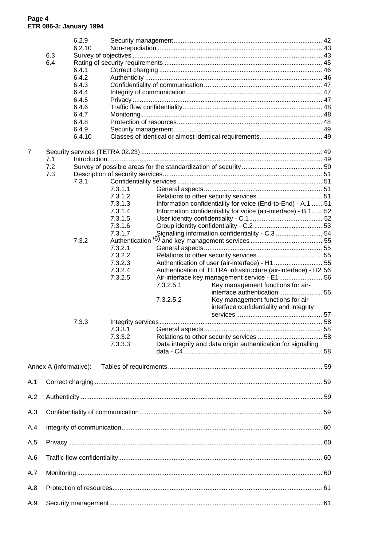|                |                        | 6.2.9          |         |           |                                                                |  |
|----------------|------------------------|----------------|---------|-----------|----------------------------------------------------------------|--|
|                |                        | 6.2.10         |         |           |                                                                |  |
|                | 6.3                    |                |         |           |                                                                |  |
|                | 6.4                    | 6.4.1          |         |           |                                                                |  |
|                |                        | 6.4.2          |         |           |                                                                |  |
|                |                        | 6.4.3          |         |           |                                                                |  |
|                |                        | 6.4.4          |         |           |                                                                |  |
|                |                        | 6.4.5          |         |           |                                                                |  |
|                |                        | 6.4.6          |         |           |                                                                |  |
|                |                        | 6.4.7          |         |           |                                                                |  |
|                |                        | 6.4.8<br>6.4.9 |         |           |                                                                |  |
|                |                        | 6.4.10         |         |           |                                                                |  |
|                |                        |                |         |           |                                                                |  |
| $\overline{7}$ |                        |                |         |           |                                                                |  |
|                | 7.1                    |                |         |           |                                                                |  |
|                | 7.2                    |                |         |           |                                                                |  |
|                | 7.3                    |                |         |           |                                                                |  |
|                |                        | 7.3.1          | 7.3.1.1 |           |                                                                |  |
|                |                        |                | 7.3.1.2 |           |                                                                |  |
|                |                        |                | 7.3.1.3 |           | Information confidentiality for voice (End-to-End) - A.1  51   |  |
|                |                        |                | 7.3.1.4 |           | Information confidentiality for voice (air-interface) - B.1 52 |  |
|                |                        |                | 7.3.1.5 |           |                                                                |  |
|                |                        |                | 7.3.1.6 |           |                                                                |  |
|                |                        | 7.3.2          | 7.3.1.7 |           |                                                                |  |
|                |                        |                | 7.3.2.1 |           |                                                                |  |
|                |                        |                | 7.3.2.2 |           |                                                                |  |
|                |                        |                | 7.3.2.3 |           |                                                                |  |
|                |                        |                | 7.3.2.4 |           | Authentication of TETRA infrastructure (air-interface) - H2 56 |  |
|                |                        |                | 7.3.2.5 |           | Air-interface key management service - E1 56                   |  |
|                |                        |                |         | 7.3.2.5.1 | Key management functions for air-                              |  |
|                |                        |                |         | 7.3.2.5.2 | Key management functions for air-                              |  |
|                |                        |                |         |           | interface confidentiality and integrity                        |  |
|                |                        |                |         |           |                                                                |  |
|                |                        | 7.3.3          |         |           |                                                                |  |
|                |                        |                | 7.3.3.1 |           |                                                                |  |
|                |                        |                | 7.3.3.2 |           |                                                                |  |
|                |                        |                | 7.3.3.3 |           | Data integrity and data origin authentication for signalling   |  |
|                |                        |                |         |           |                                                                |  |
|                | Annex A (informative): |                |         |           |                                                                |  |
| A.1            |                        |                |         |           |                                                                |  |
| A.2            |                        |                |         |           |                                                                |  |
| A.3            |                        |                |         |           |                                                                |  |
| A.4            |                        |                |         |           |                                                                |  |
| A.5            |                        |                |         |           |                                                                |  |
| A.6            |                        |                |         |           |                                                                |  |
| A.7            |                        |                |         |           |                                                                |  |
| A.8            |                        |                |         |           |                                                                |  |
| A.9            |                        |                |         |           |                                                                |  |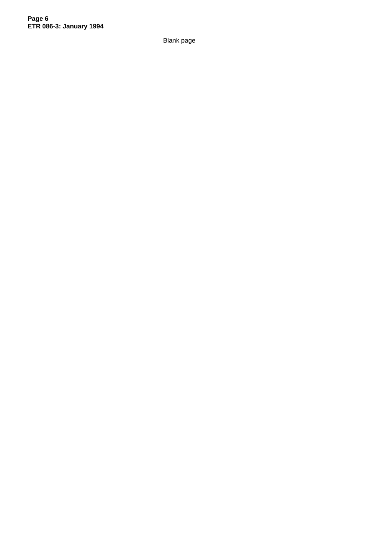Blank page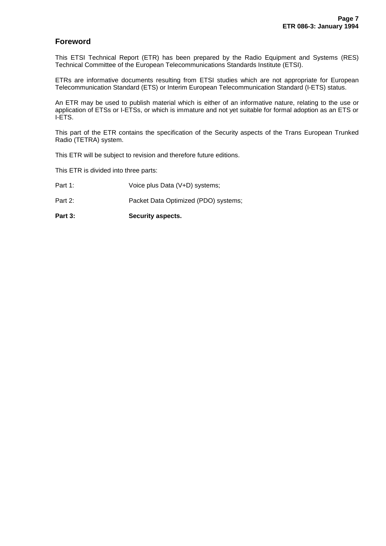## **Foreword**

This ETSI Technical Report (ETR) has been prepared by the Radio Equipment and Systems (RES) Technical Committee of the European Telecommunications Standards Institute (ETSI).

ETRs are informative documents resulting from ETSI studies which are not appropriate for European Telecommunication Standard (ETS) or Interim European Telecommunication Standard (I-ETS) status.

An ETR may be used to publish material which is either of an informative nature, relating to the use or application of ETSs or I-ETSs, or which is immature and not yet suitable for formal adoption as an ETS or I-ETS.

This part of the ETR contains the specification of the Security aspects of the Trans European Trunked Radio (TETRA) system.

This ETR will be subject to revision and therefore future editions.

This ETR is divided into three parts:

| Part 3: | <b>Security aspects.</b>             |
|---------|--------------------------------------|
| Part 2: | Packet Data Optimized (PDO) systems; |
| Part 1: | Voice plus Data (V+D) systems;       |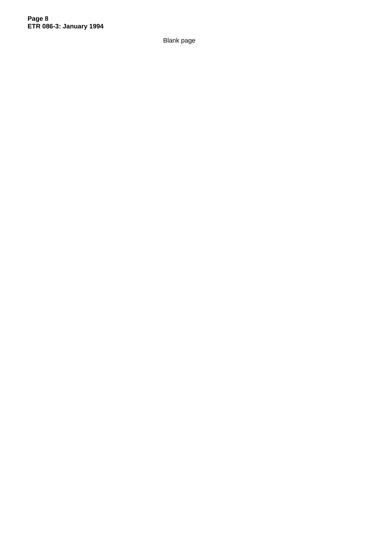Blank page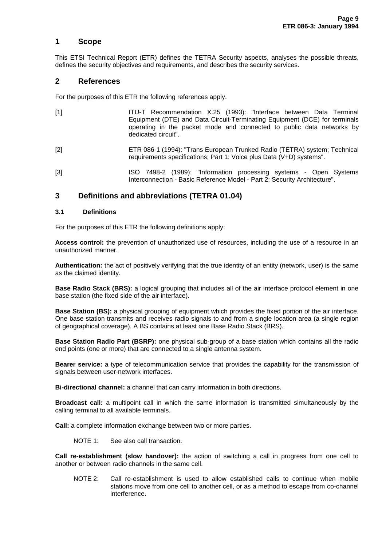## **1 Scope**

This ETSI Technical Report (ETR) defines the TETRA Security aspects, analyses the possible threats, defines the security objectives and requirements, and describes the security services.

## **2 References**

For the purposes of this ETR the following references apply.

| [1]   | ITU-T Recommendation X.25 (1993): "Interface between Data Terminal<br>Equipment (DTE) and Data Circuit-Terminating Equipment (DCE) for terminals<br>operating in the packet mode and connected to public data networks by<br>dedicated circuit". |
|-------|--------------------------------------------------------------------------------------------------------------------------------------------------------------------------------------------------------------------------------------------------|
| $[2]$ | ETR 086-1 (1994): "Trans European Trunked Radio (TETRA) system; Technical<br>requirements specifications; Part 1: Voice plus Data (V+D) systems".                                                                                                |
| $[3]$ | ISO 7498-2 (1989): "Information processing systems - Open Systems<br>Interconnection - Basic Reference Model - Part 2: Security Architecture".                                                                                                   |

## **3 Definitions and abbreviations (TETRA 01.04)**

### **3.1 Definitions**

For the purposes of this ETR the following definitions apply:

**Access control:** the prevention of unauthorized use of resources, including the use of a resource in an unauthorized manner.

**Authentication:** the act of positively verifying that the true identity of an entity (network, user) is the same as the claimed identity.

**Base Radio Stack (BRS):** a logical grouping that includes all of the air interface protocol element in one base station (the fixed side of the air interface).

**Base Station (BS):** a physical grouping of equipment which provides the fixed portion of the air interface. One base station transmits and receives radio signals to and from a single location area (a single region of geographical coverage). A BS contains at least one Base Radio Stack (BRS).

**Base Station Radio Part (BSRP):** one physical sub-group of a base station which contains all the radio end points (one or more) that are connected to a single antenna system.

**Bearer service:** a type of telecommunication service that provides the capability for the transmission of signals between user-network interfaces.

**Bi-directional channel:** a channel that can carry information in both directions.

**Broadcast call:** a multipoint call in which the same information is transmitted simultaneously by the calling terminal to all available terminals.

**Call:** a complete information exchange between two or more parties.

NOTE 1: See also call transaction.

**Call re-establishment (slow handover):** the action of switching a call in progress from one cell to another or between radio channels in the same cell.

NOTE 2: Call re-establishment is used to allow established calls to continue when mobile stations move from one cell to another cell, or as a method to escape from co-channel interference.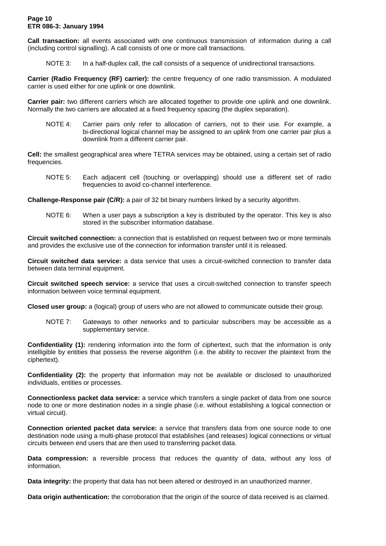## **Page 10 ETR 086-3: January 1994**

**Call transaction:** all events associated with one continuous transmission of information during a call (including control signalling). A call consists of one or more call transactions.

NOTE 3: In a half-duplex call, the call consists of a sequence of unidirectional transactions.

**Carrier (Radio Frequency (RF) carrier):** the centre frequency of one radio transmission. A modulated carrier is used either for one uplink or one downlink.

**Carrier pair:** two different carriers which are allocated together to provide one uplink and one downlink. Normally the two carriers are allocated at a fixed frequency spacing (the duplex separation).

NOTE 4: Carrier pairs only refer to allocation of carriers, not to their use. For example, a bi-directional logical channel may be assigned to an uplink from one carrier pair plus a downlink from a different carrier pair.

**Cell:** the smallest geographical area where TETRA services may be obtained, using a certain set of radio frequencies.

NOTE 5: Each adjacent cell (touching or overlapping) should use a different set of radio frequencies to avoid co-channel interference.

**Challenge-Response pair (C/R):** a pair of 32 bit binary numbers linked by a security algorithm.

NOTE 6: When a user pays a subscription a key is distributed by the operator. This key is also stored in the subscriber information database.

**Circuit switched connection:** a connection that is established on request between two or more terminals and provides the exclusive use of the connection for information transfer until it is released.

**Circuit switched data service:** a data service that uses a circuit-switched connection to transfer data between data terminal equipment.

**Circuit switched speech service:** a service that uses a circuit-switched connection to transfer speech information between voice terminal equipment.

**Closed user group:** a (logical) group of users who are not allowed to communicate outside their group.

NOTE 7: Gateways to other networks and to particular subscribers may be accessible as a supplementary service.

**Confidentiality (1):** rendering information into the form of ciphertext, such that the information is only intelligible by entities that possess the reverse algorithm (i.e. the ability to recover the plaintext from the ciphertext).

**Confidentiality (2):** the property that information may not be available or disclosed to unauthorized individuals, entities or processes.

**Connectionless packet data service:** a service which transfers a single packet of data from one source node to one or more destination nodes in a single phase (i.e. without establishing a logical connection or virtual circuit).

**Connection oriented packet data service:** a service that transfers data from one source node to one destination node using a multi-phase protocol that establishes (and releases) logical connections or virtual circuits between end users that are then used to transferring packet data.

**Data compression:** a reversible process that reduces the quantity of data, without any loss of information.

**Data integrity:** the property that data has not been altered or destroyed in an unauthorized manner.

**Data origin authentication:** the corroboration that the origin of the source of data received is as claimed.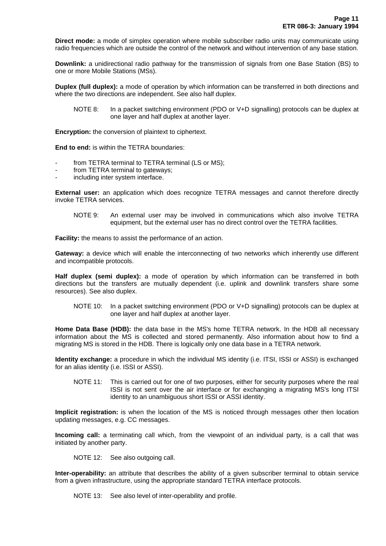**Direct mode:** a mode of simplex operation where mobile subscriber radio units may communicate using radio frequencies which are outside the control of the network and without intervention of any base station.

**Downlink:** a unidirectional radio pathway for the transmission of signals from one Base Station (BS) to one or more Mobile Stations (MSs).

**Duplex (full duplex):** a mode of operation by which information can be transferred in both directions and where the two directions are independent. See also half duplex.

NOTE 8: In a packet switching environment (PDO or V+D signalling) protocols can be duplex at one layer and half duplex at another layer.

**Encryption:** the conversion of plaintext to ciphertext.

**End to end:** is within the TETRA boundaries:

- from TETRA terminal to TETRA terminal (LS or MS);
- from TETRA terminal to gateways;
- including inter system interface.

**External user:** an application which does recognize TETRA messages and cannot therefore directly invoke TETRA services.

NOTE 9: An external user may be involved in communications which also involve TETRA equipment, but the external user has no direct control over the TETRA facilities.

**Facility:** the means to assist the performance of an action.

**Gateway:** a device which will enable the interconnecting of two networks which inherently use different and incompatible protocols.

**Half duplex (semi duplex):** a mode of operation by which information can be transferred in both directions but the transfers are mutually dependent (i.e. uplink and downlink transfers share some resources). See also duplex.

NOTE 10: In a packet switching environment (PDO or V+D signalling) protocols can be duplex at one layer and half duplex at another layer.

**Home Data Base (HDB):** the data base in the MS's home TETRA network. In the HDB all necessary information about the MS is collected and stored permanently. Also information about how to find a migrating MS is stored in the HDB. There is logically only one data base in a TETRA network.

**Identity exchange:** a procedure in which the individual MS identity (i.e. ITSI, ISSI or ASSI) is exchanged for an alias identity (i.e. ISSI or ASSI).

NOTE 11: This is carried out for one of two purposes, either for security purposes where the real ISSI is not sent over the air interface or for exchanging a migrating MS's long ITSI identity to an unambiguous short ISSI or ASSI identity.

**Implicit registration:** is when the location of the MS is noticed through messages other then location updating messages, e.g. CC messages.

**Incoming call:** a terminating call which, from the viewpoint of an individual party, is a call that was initiated by another party.

NOTE 12: See also outgoing call.

**Inter-operability:** an attribute that describes the ability of a given subscriber terminal to obtain service from a given infrastructure, using the appropriate standard TETRA interface protocols.

NOTE 13: See also level of inter-operability and profile.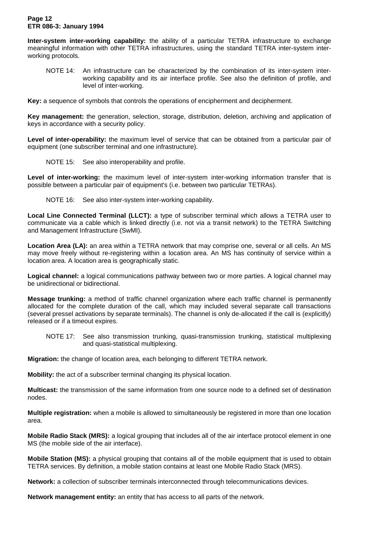## **Page 12 ETR 086-3: January 1994**

**Inter-system inter-working capability:** the ability of a particular TETRA infrastructure to exchange meaningful information with other TETRA infrastructures, using the standard TETRA inter-system interworking protocols.

NOTE 14: An infrastructure can be characterized by the combination of its inter-system interworking capability and its air interface profile. See also the definition of profile, and level of inter-working.

**Key:** a sequence of symbols that controls the operations of encipherment and decipherment.

**Key management:** the generation, selection, storage, distribution, deletion, archiving and application of keys in accordance with a security policy.

**Level of inter-operability:** the maximum level of service that can be obtained from a particular pair of equipment (one subscriber terminal and one infrastructure).

NOTE 15: See also interoperability and profile.

Level of inter-working: the maximum level of inter-system inter-working information transfer that is possible between a particular pair of equipment's (i.e. between two particular TETRAs).

NOTE 16: See also inter-system inter-working capability.

**Local Line Connected Terminal (LLCT):** a type of subscriber terminal which allows a TETRA user to communicate via a cable which is linked directly (i.e. not via a transit network) to the TETRA Switching and Management Infrastructure (SwMI).

**Location Area (LA):** an area within a TETRA network that may comprise one, several or all cells. An MS may move freely without re-registering within a location area. An MS has continuity of service within a location area. A location area is geographically static.

**Logical channel:** a logical communications pathway between two or more parties. A logical channel may be unidirectional or bidirectional.

**Message trunking:** a method of traffic channel organization where each traffic channel is permanently allocated for the complete duration of the call, which may included several separate call transactions (several pressel activations by separate terminals). The channel is only de-allocated if the call is (explicitly) released or if a timeout expires.

NOTE 17: See also transmission trunking, quasi-transmission trunking, statistical multiplexing and quasi-statistical multiplexing.

**Migration:** the change of location area, each belonging to different TETRA network.

**Mobility:** the act of a subscriber terminal changing its physical location.

**Multicast:** the transmission of the same information from one source node to a defined set of destination nodes.

**Multiple registration:** when a mobile is allowed to simultaneously be registered in more than one location area.

**Mobile Radio Stack (MRS):** a logical grouping that includes all of the air interface protocol element in one MS (the mobile side of the air interface).

**Mobile Station (MS):** a physical grouping that contains all of the mobile equipment that is used to obtain TETRA services. By definition, a mobile station contains at least one Mobile Radio Stack (MRS).

**Network:** a collection of subscriber terminals interconnected through telecommunications devices.

**Network management entity:** an entity that has access to all parts of the network.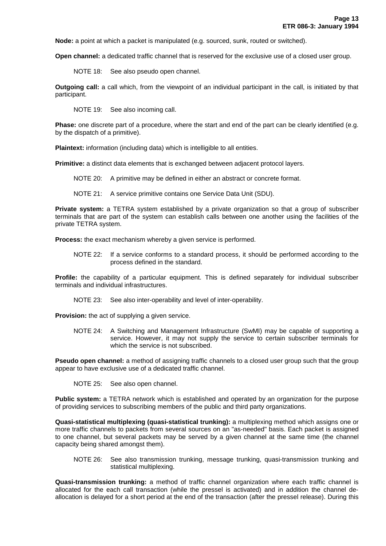**Node:** a point at which a packet is manipulated (e.g. sourced, sunk, routed or switched).

**Open channel:** a dedicated traffic channel that is reserved for the exclusive use of a closed user group.

NOTE 18: See also pseudo open channel.

**Outgoing call:** a call which, from the viewpoint of an individual participant in the call, is initiated by that participant.

NOTE 19: See also incoming call.

**Phase:** one discrete part of a procedure, where the start and end of the part can be clearly identified (e.g. by the dispatch of a primitive).

**Plaintext:** information (including data) which is intelligible to all entities.

**Primitive:** a distinct data elements that is exchanged between adjacent protocol layers.

NOTE 20: A primitive may be defined in either an abstract or concrete format.

NOTE 21: A service primitive contains one Service Data Unit (SDU).

**Private system:** a TETRA system established by a private organization so that a group of subscriber terminals that are part of the system can establish calls between one another using the facilities of the private TETRA system.

**Process:** the exact mechanism whereby a given service is performed.

NOTE 22: If a service conforms to a standard process, it should be performed according to the process defined in the standard.

**Profile:** the capability of a particular equipment. This is defined separately for individual subscriber terminals and individual infrastructures.

NOTE 23: See also inter-operability and level of inter-operability.

**Provision:** the act of supplying a given service.

NOTE 24: A Switching and Management Infrastructure (SwMI) may be capable of supporting a service. However, it may not supply the service to certain subscriber terminals for which the service is not subscribed.

**Pseudo open channel:** a method of assigning traffic channels to a closed user group such that the group appear to have exclusive use of a dedicated traffic channel.

NOTE 25: See also open channel.

**Public system:** a TETRA network which is established and operated by an organization for the purpose of providing services to subscribing members of the public and third party organizations.

**Quasi-statistical multiplexing (quasi-statistical trunking):** a multiplexing method which assigns one or more traffic channels to packets from several sources on an "as-needed" basis. Each packet is assigned to one channel, but several packets may be served by a given channel at the same time (the channel capacity being shared amongst them).

NOTE 26: See also transmission trunking, message trunking, quasi-transmission trunking and statistical multiplexing.

**Quasi-transmission trunking:** a method of traffic channel organization where each traffic channel is allocated for the each call transaction (while the pressel is activated) and in addition the channel deallocation is delayed for a short period at the end of the transaction (after the pressel release). During this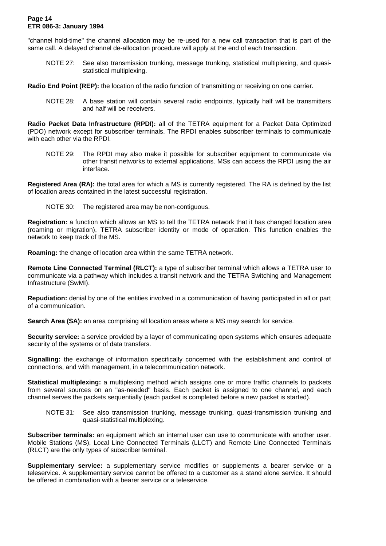## **Page 14 ETR 086-3: January 1994**

"channel hold-time" the channel allocation may be re-used for a new call transaction that is part of the same call. A delayed channel de-allocation procedure will apply at the end of each transaction.

NOTE 27: See also transmission trunking, message trunking, statistical multiplexing, and quasistatistical multiplexing.

**Radio End Point (REP):** the location of the radio function of transmitting or receiving on one carrier.

NOTE 28: A base station will contain several radio endpoints, typically half will be transmitters and half will be receivers.

**Radio Packet Data Infrastructure (RPDI):** all of the TETRA equipment for a Packet Data Optimized (PDO) network except for subscriber terminals. The RPDI enables subscriber terminals to communicate with each other via the RPDI.

NOTE 29: The RPDI may also make it possible for subscriber equipment to communicate via other transit networks to external applications. MSs can access the RPDI using the air interface.

**Registered Area (RA):** the total area for which a MS is currently registered. The RA is defined by the list of location areas contained in the latest successful registration.

NOTE 30: The registered area may be non-contiguous.

**Registration:** a function which allows an MS to tell the TETRA network that it has changed location area (roaming or migration), TETRA subscriber identity or mode of operation. This function enables the network to keep track of the MS.

**Roaming:** the change of location area within the same TETRA network.

**Remote Line Connected Terminal (RLCT):** a type of subscriber terminal which allows a TETRA user to communicate via a pathway which includes a transit network and the TETRA Switching and Management Infrastructure (SwMI).

**Repudiation:** denial by one of the entities involved in a communication of having participated in all or part of a communication.

**Search Area (SA):** an area comprising all location areas where a MS may search for service.

**Security service:** a service provided by a layer of communicating open systems which ensures adequate security of the systems or of data transfers.

**Signalling:** the exchange of information specifically concerned with the establishment and control of connections, and with management, in a telecommunication network.

**Statistical multiplexing:** a multiplexing method which assigns one or more traffic channels to packets from several sources on an "as-needed" basis. Each packet is assigned to one channel, and each channel serves the packets sequentially (each packet is completed before a new packet is started).

NOTE 31: See also transmission trunking, message trunking, quasi-transmission trunking and quasi-statistical multiplexing.

**Subscriber terminals:** an equipment which an internal user can use to communicate with another user. Mobile Stations (MS), Local Line Connected Terminals (LLCT) and Remote Line Connected Terminals (RLCT) are the only types of subscriber terminal.

**Supplementary service:** a supplementary service modifies or supplements a bearer service or a teleservice. A supplementary service cannot be offered to a customer as a stand alone service. It should be offered in combination with a bearer service or a teleservice.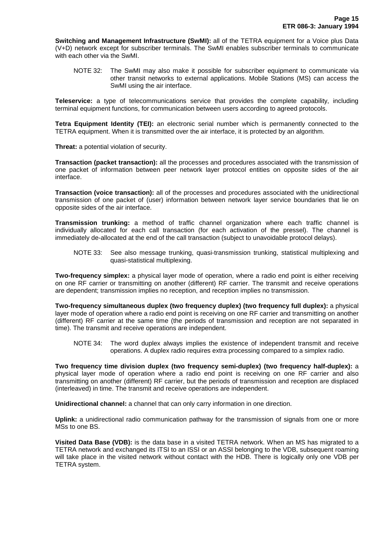**Switching and Management Infrastructure (SwMI):** all of the TETRA equipment for a Voice plus Data (V+D) network except for subscriber terminals. The SwMI enables subscriber terminals to communicate with each other via the SwMI.

NOTE 32: The SwMI may also make it possible for subscriber equipment to communicate via other transit networks to external applications. Mobile Stations (MS) can access the SwMI using the air interface.

**Teleservice:** a type of telecommunications service that provides the complete capability, including terminal equipment functions, for communication between users according to agreed protocols.

**Tetra Equipment Identity (TEI):** an electronic serial number which is permanently connected to the TETRA equipment. When it is transmitted over the air interface, it is protected by an algorithm.

**Threat:** a potential violation of security.

**Transaction (packet transaction):** all the processes and procedures associated with the transmission of one packet of information between peer network layer protocol entities on opposite sides of the air interface.

**Transaction (voice transaction):** all of the processes and procedures associated with the unidirectional transmission of one packet of (user) information between network layer service boundaries that lie on opposite sides of the air interface.

**Transmission trunking:** a method of traffic channel organization where each traffic channel is individually allocated for each call transaction (for each activation of the pressel). The channel is immediately de-allocated at the end of the call transaction (subject to unavoidable protocol delays).

NOTE 33: See also message trunking, quasi-transmission trunking, statistical multiplexing and quasi-statistical multiplexing.

**Two-frequency simplex:** a physical layer mode of operation, where a radio end point is either receiving on one RF carrier or transmitting on another (different) RF carrier. The transmit and receive operations are dependent; transmission implies no reception, and reception implies no transmission.

**Two-frequency simultaneous duplex (two frequency duplex) (two frequency full duplex):** a physical layer mode of operation where a radio end point is receiving on one RF carrier and transmitting on another (different) RF carrier at the same time (the periods of transmission and reception are not separated in time). The transmit and receive operations are independent.

NOTE 34: The word duplex always implies the existence of independent transmit and receive operations. A duplex radio requires extra processing compared to a simplex radio.

**Two frequency time division duplex (two frequency semi-duplex) (two frequency half-duplex):** a physical layer mode of operation where a radio end point is receiving on one RF carrier and also transmitting on another (different) RF carrier, but the periods of transmission and reception are displaced (interleaved) in time. The transmit and receive operations are independent.

**Unidirectional channel:** a channel that can only carry information in one direction.

**Uplink:** a unidirectional radio communication pathway for the transmission of signals from one or more MSs to one BS.

**Visited Data Base (VDB):** is the data base in a visited TETRA network. When an MS has migrated to a TETRA network and exchanged its ITSI to an ISSI or an ASSI belonging to the VDB, subsequent roaming will take place in the visited network without contact with the HDB. There is logically only one VDB per TETRA system.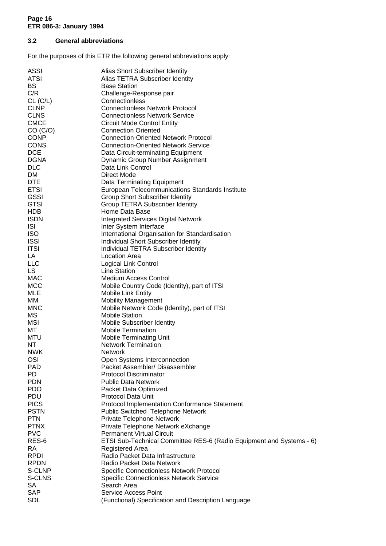## **3.2 General abbreviations**

For the purposes of this ETR the following general abbreviations apply:

| <b>ASSI</b>   | Alias Short Subscriber Identity                                      |
|---------------|----------------------------------------------------------------------|
| <b>ATSI</b>   | Alias TETRA Subscriber Identity                                      |
| BS            | <b>Base Station</b>                                                  |
| C/R           | Challenge-Response pair                                              |
| CL (C/L)      | Connectionless                                                       |
|               |                                                                      |
| <b>CLNP</b>   | <b>Connectionless Network Protocol</b>                               |
| <b>CLNS</b>   | <b>Connectionless Network Service</b>                                |
| <b>CMCE</b>   | Circuit Mode Control Entity                                          |
| CO (C/O)      | <b>Connection Oriented</b>                                           |
| <b>CONP</b>   | <b>Connection-Oriented Network Protocol</b>                          |
| <b>CONS</b>   | <b>Connection-Oriented Network Service</b>                           |
|               |                                                                      |
| <b>DCE</b>    | Data Circuit-terminating Equipment                                   |
| <b>DGNA</b>   | Dynamic Group Number Assignment                                      |
| <b>DLC</b>    | Data Link Control                                                    |
| DM.           | Direct Mode                                                          |
| <b>DTE</b>    | Data Terminating Equipment                                           |
| <b>ETSI</b>   | European Telecommunications Standards Institute                      |
| <b>GSSI</b>   |                                                                      |
|               | <b>Group Short Subscriber Identity</b>                               |
| <b>GTSI</b>   | <b>Group TETRA Subscriber Identity</b>                               |
| HDB           | Home Data Base                                                       |
| <b>ISDN</b>   | <b>Integrated Services Digital Network</b>                           |
| <b>ISI</b>    | Inter System Interface                                               |
| <b>ISO</b>    | International Organisation for Standardisation                       |
| <b>ISSI</b>   | Individual Short Subscriber Identity                                 |
| <b>ITSI</b>   | Individual TETRA Subscriber Identity                                 |
|               |                                                                      |
| LA            | <b>Location Area</b>                                                 |
| <b>LLC</b>    | Logical Link Control                                                 |
| <b>LS</b>     | <b>Line Station</b>                                                  |
| <b>MAC</b>    | <b>Medium Access Control</b>                                         |
| <b>MCC</b>    | Mobile Country Code (Identity), part of ITSI                         |
| MLE           | <b>Mobile Link Entity</b>                                            |
| ΜМ            | <b>Mobility Management</b>                                           |
| <b>MNC</b>    | Mobile Network Code (Identity), part of ITSI                         |
| ΜS            | <b>Mobile Station</b>                                                |
|               |                                                                      |
| <b>MSI</b>    | <b>Mobile Subscriber Identity</b>                                    |
| МT            | <b>Mobile Termination</b>                                            |
| MTU           | <b>Mobile Terminating Unit</b>                                       |
| NΤ            | <b>Network Termination</b>                                           |
| <b>NWK</b>    | <b>Network</b>                                                       |
| OSI           | Open Systems Interconnection                                         |
| <b>PAD</b>    | Packet Assembler/ Disassembler                                       |
| PD            | <b>Protocol Discriminator</b>                                        |
| <b>PDN</b>    |                                                                      |
|               | <b>Public Data Network</b>                                           |
| <b>PDO</b>    | Packet Data Optimized                                                |
| PDU           | <b>Protocol Data Unit</b>                                            |
| <b>PICS</b>   | <b>Protocol Implementation Conformance Statement</b>                 |
| <b>PSTN</b>   | Public Switched Telephone Network                                    |
| <b>PTN</b>    | Private Telephone Network                                            |
| <b>PTNX</b>   | Private Telephone Network eXchange                                   |
| <b>PVC</b>    | <b>Permanent Virtual Circuit</b>                                     |
| RES-6         | ETSI Sub-Technical Committee RES-6 (Radio Equipment and Systems - 6) |
|               |                                                                      |
| RA            | <b>Registered Area</b>                                               |
| <b>RPDI</b>   | Radio Packet Data Infrastructure                                     |
| <b>RPDN</b>   | Radio Packet Data Network                                            |
| S-CLNP        | Specific Connectionless Network Protocol                             |
| <b>S-CLNS</b> | <b>Specific Connectionless Network Service</b>                       |
| SА            | Search Area                                                          |
| <b>SAP</b>    | <b>Service Access Point</b>                                          |
| <b>SDL</b>    | (Functional) Specification and Description Language                  |
|               |                                                                      |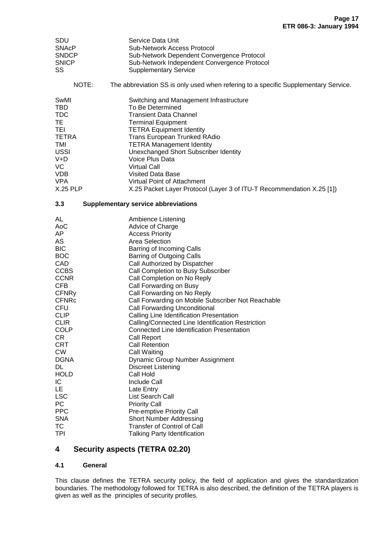| SDU             | Service Data Unit                                                                   |
|-----------------|-------------------------------------------------------------------------------------|
| <b>SNAcP</b>    | <b>Sub-Network Access Protocol</b>                                                  |
| <b>SNDCP</b>    | Sub-Network Dependent Convergence Protocol                                          |
| <b>SNICP</b>    | Sub-Network Independent Convergence Protocol                                        |
| SS              | <b>Supplementary Service</b>                                                        |
| NOTE:           | The abbreviation SS is only used when refering to a specific Supplementary Service. |
| SwMI            | Switching and Management Infrastructure                                             |
| TBD             | To Be Determined                                                                    |
| <b>TDC</b>      | <b>Transient Data Channel</b>                                                       |
| TE              | <b>Terminal Equipment</b>                                                           |
| TEI             | <b>TETRA Equipment Identity</b>                                                     |
| <b>TETRA</b>    | <b>Trans European Trunked RAdio</b>                                                 |
| TMI             | <b>TETRA Management Identity</b>                                                    |
| <b>USSI</b>     | Unexchanged Short Subscriber Identity                                               |
| V+D             | Voice Plus Data                                                                     |
| VC              | <b>Virtual Call</b>                                                                 |
| <b>VDB</b>      | <b>Visited Data Base</b>                                                            |
| <b>VPA</b>      | Virtual Point of Attachment                                                         |
| <b>X.25 PLP</b> | X.25 Packet Layer Protocol (Layer 3 of ITU-T Recommendation X.25 [1])               |
| 3.3             | <b>Supplementary service abbreviations</b>                                          |
| AL              | Ambience Listening                                                                  |
| AoC             | Advice of Charge                                                                    |
| AP              | <b>Access Priority</b>                                                              |
| AS              | Area Selection                                                                      |
| <b>BIC</b>      | Barring of Incoming Calls                                                           |
| <b>BOC</b>      | <b>Barring of Outgoing Calls</b>                                                    |
| CAD             | Call Authorized by Dispatcher                                                       |
| <b>CCBS</b>     | Call Completion to Busy Subscriber                                                  |
| <b>CCNR</b>     | Call Completion on No Reply                                                         |
| <b>CFB</b>      | Call Forwarding on Busy                                                             |
| <b>CFNRy</b>    | Call Forwarding on No Reply                                                         |
| <b>CFNRc</b>    | Call Forwarding on Mobile Subscriber Not Reachable                                  |
| <b>CFU</b>      | Call Forwarding Unconditional                                                       |
| <b>CLIP</b>     | Calling Line Identification Presentation                                            |
| <b>CLIR</b>     | Calling/Connected Line Identification Restriction                                   |
| <b>COLP</b>     | <b>Connected Line Identification Presentation</b>                                   |
| CR              | <b>Call Report</b>                                                                  |
| <b>CRT</b>      | <b>Call Retention</b>                                                               |
| <b>CW</b>       | Call Waiting                                                                        |
| <b>DGNA</b>     | Dynamic Group Number Assignment                                                     |
| DL              | <b>Discreet Listening</b>                                                           |
| <b>HOLD</b>     | Call Hold                                                                           |
| IC              | <b>Include Call</b>                                                                 |
| LE              | Late Entry                                                                          |
| <b>LSC</b>      | List Search Call                                                                    |
| PC              | <b>Priority Call</b>                                                                |
| <b>PPC</b>      | Pre-emptive Priority Call                                                           |
| <b>SNA</b>      | <b>Short Number Addressing</b>                                                      |
| ТC              | <b>Transfer of Control of Call</b>                                                  |
| <b>TPI</b>      | <b>Talking Party Identification</b>                                                 |

## **4 Security aspects (TETRA 02.20)**

## **4.1 General**

This clause defines the TETRA security policy, the field of application and gives the standardization boundaries. The methodology followed for TETRA is also described, the definition of the TETRA players is given as well as the principles of security profiles.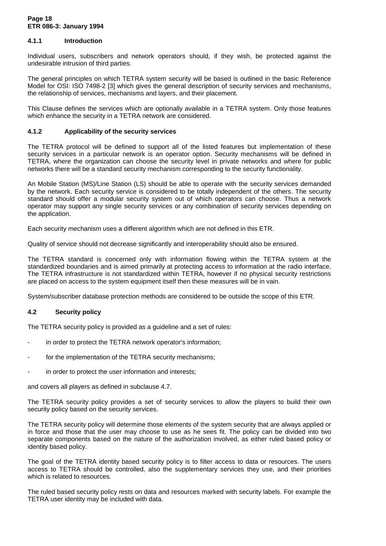## **Page 18 ETR 086-3: January 1994**

## **4.1.1 Introduction**

Individual users, subscribers and network operators should, if they wish, be protected against the undesirable intrusion of third parties.

The general principles on which TETRA system security will be based is outlined in the basic Reference Model for OSI: ISO 7498-2 [3] which gives the general description of security services and mechanisms, the relationship of services, mechanisms and layers, and their placement.

This Clause defines the services which are optionally available in a TETRA system. Only those features which enhance the security in a TETRA network are considered.

## **4.1.2 Applicability of the security services**

The TETRA protocol will be defined to support all of the listed features but implementation of these security services in a particular network is an operator option. Security mechanisms will be defined in TETRA, where the organization can choose the security level in private networks and where for public networks there will be a standard security mechanism corresponding to the security functionality.

An Mobile Station (MS)/Line Station (LS) should be able to operate with the security services demanded by the network. Each security service is considered to be totally independent of the others. The security standard should offer a modular security system out of which operators can choose. Thus a network operator may support any single security services or any combination of security services depending on the application.

Each security mechanism uses a different algorithm which are not defined in this ETR.

Quality of service should not decrease significantly and interoperability should also be ensured.

The TETRA standard is concerned only with information flowing within the TETRA system at the standardized boundaries and is aimed primarily at protecting access to information at the radio interface. The TETRA infrastructure is not standardized within TETRA, however if no physical security restrictions are placed on access to the system equipment itself then these measures will be in vain.

System/subscriber database protection methods are considered to be outside the scope of this ETR.

## **4.2 Security policy**

The TETRA security policy is provided as a guideline and a set of rules:

- in order to protect the TETRA network operator's information;
- for the implementation of the TETRA security mechanisms;
- in order to protect the user information and interests;

and covers all players as defined in subclause 4.7.

The TETRA security policy provides a set of security services to allow the players to build their own security policy based on the security services.

The TETRA security policy will determine those elements of the system security that are always applied or in force and those that the user may choose to use as he sees fit. The policy can be divided into two separate components based on the nature of the authorization involved, as either ruled based policy or identity based policy.

The goal of the TETRA identity based security policy is to filter access to data or resources. The users access to TETRA should be controlled, also the supplementary services they use, and their priorities which is related to resources.

The ruled based security policy rests on data and resources marked with security labels. For example the TETRA user identity may be included with data.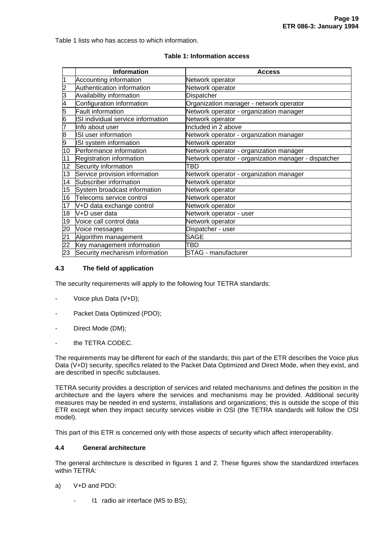Table 1 lists who has access to which information.

|                 | <b>Information</b>                 | <b>Access</b>                                        |
|-----------------|------------------------------------|------------------------------------------------------|
| 1               | Accounting information             | Network operator                                     |
| $\overline{2}$  | Authentication information         | Network operator                                     |
| 3               | Availability information           | Dispatcher                                           |
| 4               | Configuration information          | Organization manager - network operator              |
| 5               | Fault information                  | Network operator - organization manager              |
| $\overline{6}$  | ISI individual service information |                                                      |
|                 |                                    | Network operator                                     |
| 7               | Info about user                    | Included in 2 above                                  |
| 8               | ISI user information               | Network operator - organization manager              |
| 9               | ISI system information             | Network operator                                     |
| 10              | Performance information            | Network operator - organization manager              |
| 11              | Registration information           | Network operator - organization manager - dispatcher |
| 12              | Security information               | TBD                                                  |
| 13              | Service provision information      | Network operator - organization manager              |
| 14              | Subscriber information             | Network operator                                     |
| 15              | System broadcast information       | Network operator                                     |
| 16              | Telecoms service control           | Network operator                                     |
| 17              | V+D data exchange control          | Network operator                                     |
| 18              | V+D user data                      | Network operator - user                              |
| 19              | Voice call control data            | Network operator                                     |
| 20              | Voice messages                     | Dispatcher - user                                    |
| $\overline{21}$ | Algorithm management               | SAGE                                                 |
| 22              | Key management information         | TBD                                                  |
| 23              | Security mechanism information     | <b>STAG - manufacturer</b>                           |

### **Table 1: Information access**

## **4.3 The field of application**

The security requirements will apply to the following four TETRA standards:

- Voice plus Data (V+D);
- Packet Data Optimized (PDO);
- Direct Mode (DM);
- the TETRA CODEC.

The requirements may be different for each of the standards; this part of the ETR describes the Voice plus Data (V+D) security, specifics related to the Packet Data Optimized and Direct Mode, when they exist, and are described in specific subclauses.

TETRA security provides a description of services and related mechanisms and defines the position in the architecture and the layers where the services and mechanisms may be provided. Additional security measures may be needed in end systems, installations and organizations; this is outside the scope of this ETR except when they impact security services visible in OSI (the TETRA standards will follow the OSI model).

This part of this ETR is concerned only with those aspects of security which affect interoperability.

## **4.4 General architecture**

The general architecture is described in figures 1 and 2. These figures show the standardized interfaces within TETRA:

- a) V+D and PDO:
	- I1 radio air interface (MS to BS);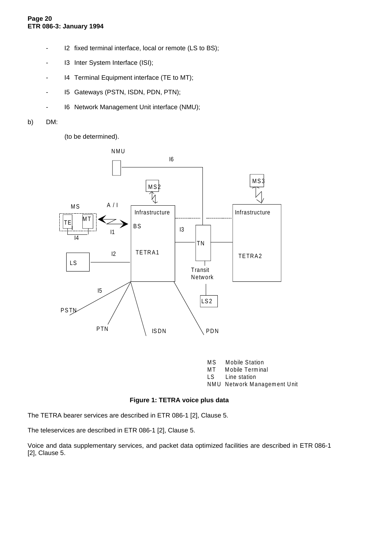- I2 fixed terminal interface, local or remote (LS to BS);
- I3 Inter System Interface (ISI);
- I4 Terminal Equipment interface (TE to MT);
- I5 Gateways (PSTN, ISDN, PDN, PTN);
- I6 Network Management Unit interface (NMU);

### b) DM:

(to be determined).



MS Mobile Station MT Mobile Terminal LS Line station NM U Network Managem ent Unit

## **Figure 1: TETRA voice plus data**

The TETRA bearer services are described in ETR 086-1 [2], Clause 5.

The teleservices are described in ETR 086-1 [2], Clause 5.

Voice and data supplementary services, and packet data optimized facilities are described in ETR 086-1 [2], Clause 5.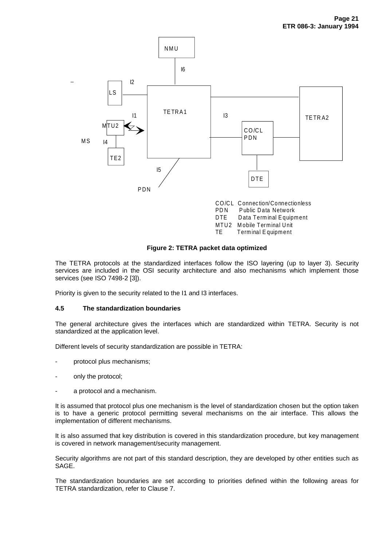

### **Figure 2: TETRA packet data optimized**

The TETRA protocols at the standardized interfaces follow the ISO layering (up to layer 3). Security services are included in the OSI security architecture and also mechanisms which implement those services (see ISO 7498-2 [3]).

Priority is given to the security related to the I1 and I3 interfaces.

### **4.5 The standardization boundaries**

The general architecture gives the interfaces which are standardized within TETRA. Security is not standardized at the application level.

Different levels of security standardization are possible in TETRA:

- protocol plus mechanisms;
- only the protocol;
- a protocol and a mechanism.

It is assumed that protocol plus one mechanism is the level of standardization chosen but the option taken is to have a generic protocol permitting several mechanisms on the air interface. This allows the implementation of different mechanisms.

It is also assumed that key distribution is covered in this standardization procedure, but key management is covered in network management/security management.

Security algorithms are not part of this standard description, they are developed by other entities such as SAGE.

The standardization boundaries are set according to priorities defined within the following areas for TETRA standardization, refer to Clause 7.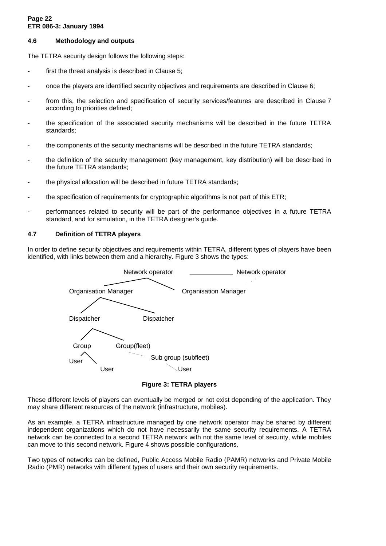## **Page 22 ETR 086-3: January 1994**

### **4.6 Methodology and outputs**

The TETRA security design follows the following steps:

- first the threat analysis is described in Clause 5;
- once the players are identified security objectives and requirements are described in Clause 6;
- from this, the selection and specification of security services/features are described in Clause 7 according to priorities defined;
- the specification of the associated security mechanisms will be described in the future TETRA standards;
- the components of the security mechanisms will be described in the future TETRA standards;
- the definition of the security management (key management, key distribution) will be described in the future TETRA standards;
- the physical allocation will be described in future TETRA standards:
- the specification of requirements for cryptographic algorithms is not part of this ETR;
- performances related to security will be part of the performance objectives in a future TETRA standard, and for simulation, in the TETRA designer's guide.

## **4.7 Definition of TETRA players**

In order to define security objectives and requirements within TETRA, different types of players have been identified, with links between them and a hierarchy. Figure 3 shows the types:



**Figure 3: TETRA players**

These different levels of players can eventually be merged or not exist depending of the application. They may share different resources of the network (infrastructure, mobiles).

As an example, a TETRA infrastructure managed by one network operator may be shared by different independent organizations which do not have necessarily the same security requirements. A TETRA network can be connected to a second TETRA network with not the same level of security, while mobiles can move to this second network. Figure 4 shows possible configurations.

Two types of networks can be defined, Public Access Mobile Radio (PAMR) networks and Private Mobile Radio (PMR) networks with different types of users and their own security requirements.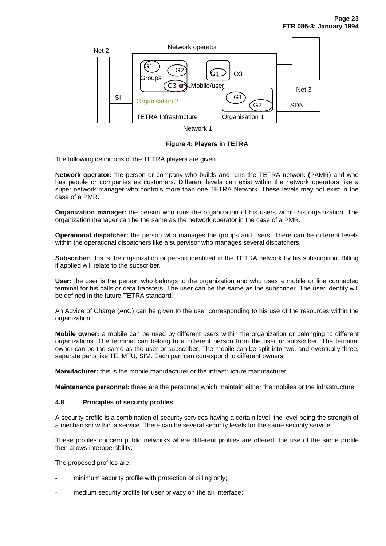

**Figure 4: Players in TETRA**

The following definitions of the TETRA players are given.

**Network operator:** the person or company who builds and runs the TETRA network **(**PAMR) and who has people or companies as customers. Different levels can exist within the network operators like a super network manager who controls more than one TETRA Network. These levels may not exist in the case of a PMR.

**Organization manager:** the person who runs the organization of his users within his organization. The organization manager can be the same as the network operator in the case of a PMR.

**Operational dispatcher:** the person who manages the groups and users. There can be different levels within the operational dispatchers like a supervisor who manages several dispatchers.

**Subscriber:** this is the organization or person identified in the TETRA network by his subscription. Billing if applied will relate to the subscriber.

**User:** the user is the person who belongs to the organization and who uses a mobile or line connected terminal for his calls or data transfers. The user can be the same as the subscriber. The user identity will be defined in the future TETRA standard.

An Advice of Charge (AoC) can be given to the user corresponding to his use of the resources within the organization.

**Mobile owner:** a mobile can be used by different users within the organization or belonging to different organizations. The terminal can belong to a different person from the user or subscriber. The terminal owner can be the same as the user or subscriber. The mobile can be split into two, and eventually three, separate parts like TE, MTU, SIM. Each part can correspond to different owners.

**Manufacturer:** this is the mobile manufacturer or the infrastructure manufacturer.

**Maintenance personnel:** these are the personnel which maintain either the mobiles or the infrastructure.

### **4.8 Principles of security profiles**

A security profile is a combination of security services having a certain level, the level being the strength of a mechanism within a service. There can be several security levels for the same security service.

These profiles concern public networks where different profiles are offered, the use of the same profile then allows interoperability.

The proposed profiles are:

- minimum security profile with protection of billing only;
- medium security profile for user privacy on the air interface;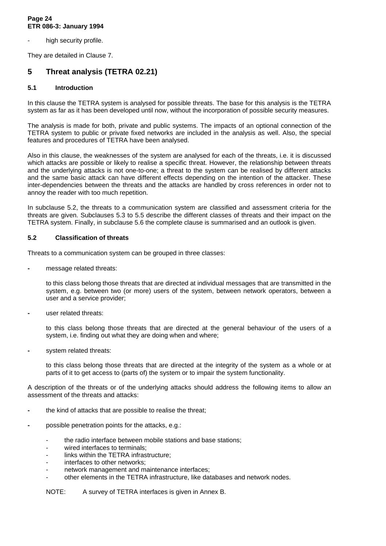## **Page 24 ETR 086-3: January 1994**

high security profile.

They are detailed in Clause 7.

## **5 Threat analysis (TETRA 02.21)**

## **5.1 Introduction**

In this clause the TETRA system is analysed for possible threats. The base for this analysis is the TETRA system as far as it has been developed until now, without the incorporation of possible security measures.

The analysis is made for both, private and public systems. The impacts of an optional connection of the TETRA system to public or private fixed networks are included in the analysis as well. Also, the special features and procedures of TETRA have been analysed.

Also in this clause, the weaknesses of the system are analysed for each of the threats, i.e. it is discussed which attacks are possible or likely to realise a specific threat. However, the relationship between threats and the underlying attacks is not one-to-one; a threat to the system can be realised by different attacks and the same basic attack can have different effects depending on the intention of the attacker. These inter-dependencies between the threats and the attacks are handled by cross references in order not to annoy the reader with too much repetition.

In subclause 5.2, the threats to a communication system are classified and assessment criteria for the threats are given. Subclauses 5.3 to 5.5 describe the different classes of threats and their impact on the TETRA system. Finally, in subclause 5.6 the complete clause is summarised and an outlook is given.

## **5.2 Classification of threats**

Threats to a communication system can be grouped in three classes:

**-** message related threats:

to this class belong those threats that are directed at individual messages that are transmitted in the system, e.g. between two (or more) users of the system, between network operators, between a user and a service provider;

**-** user related threats:

to this class belong those threats that are directed at the general behaviour of the users of a system, i.e. finding out what they are doing when and where;

**-** system related threats:

to this class belong those threats that are directed at the integrity of the system as a whole or at parts of it to get access to (parts of) the system or to impair the system functionality.

A description of the threats or of the underlying attacks should address the following items to allow an assessment of the threats and attacks:

- **-** the kind of attacks that are possible to realise the threat;
- **-** possible penetration points for the attacks, e.g.:
	- the radio interface between mobile stations and base stations;
	- wired interfaces to terminals;
	- links within the TETRA infrastructure;
	- interfaces to other networks:
	- network management and maintenance interfaces;
	- other elements in the TETRA infrastructure, like databases and network nodes.

NOTE: A survey of TETRA interfaces is given in Annex B.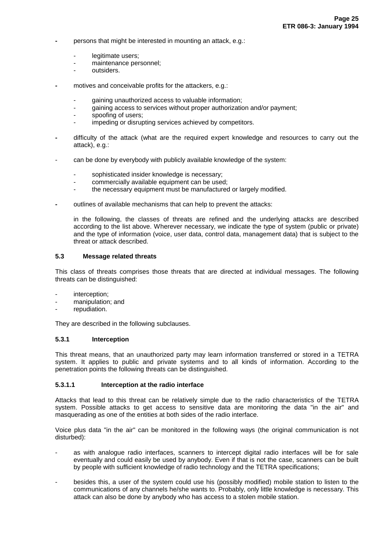- **-** persons that might be interested in mounting an attack, e.g.:
	- legitimate users;
	- maintenance personnel:
	- outsiders.
- **-** motives and conceivable profits for the attackers, e.g.:
	- gaining unauthorized access to valuable information;
	- gaining access to services without proper authorization and/or payment;
	- spoofing of users:
	- impeding or disrupting services achieved by competitors.
- **-** difficulty of the attack (what are the required expert knowledge and resources to carry out the attack), e.g.:
- can be done by everybody with publicly available knowledge of the system:
	- sophisticated insider knowledge is necessary;
	- commercially available equipment can be used;
	- the necessary equipment must be manufactured or largely modified.
- **-** outlines of available mechanisms that can help to prevent the attacks:

in the following, the classes of threats are refined and the underlying attacks are described according to the list above. Wherever necessary, we indicate the type of system (public or private) and the type of information (voice, user data, control data, management data) that is subject to the threat or attack described.

#### **5.3 Message related threats**

This class of threats comprises those threats that are directed at individual messages. The following threats can be distinguished:

- interception;
- manipulation; and
- repudiation.

They are described in the following subclauses.

#### **5.3.1 Interception**

This threat means, that an unauthorized party may learn information transferred or stored in a TETRA system. It applies to public and private systems and to all kinds of information. According to the penetration points the following threats can be distinguished.

### **5.3.1.1 Interception at the radio interface**

Attacks that lead to this threat can be relatively simple due to the radio characteristics of the TETRA system. Possible attacks to get access to sensitive data are monitoring the data "in the air" and masquerading as one of the entities at both sides of the radio interface.

Voice plus data "in the air" can be monitored in the following ways (the original communication is not disturbed):

- as with analogue radio interfaces, scanners to intercept digital radio interfaces will be for sale eventually and could easily be used by anybody. Even if that is not the case, scanners can be built by people with sufficient knowledge of radio technology and the TETRA specifications;
- besides this, a user of the system could use his (possibly modified) mobile station to listen to the communications of any channels he/she wants to. Probably, only little knowledge is necessary. This attack can also be done by anybody who has access to a stolen mobile station.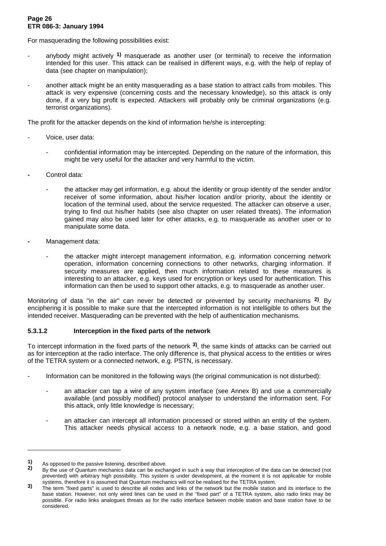## **Page 26 ETR 086-3: January 1994**

For masquerading the following possibilities exist:

- anybody might actively **1)** masquerade as another user (or terminal) to receive the information intended for this user. This attack can be realised in different ways, e.g. with the help of replay of data (see chapter on manipulation);
- another attack might be an entity masquerading as a base station to attract calls from mobiles. This attack is very expensive (concerning costs and the necessary knowledge), so this attack is only done, if a very big profit is expected. Attackers will probably only be criminal organizations (e.g. terrorist organizations).

The profit for the attacker depends on the kind of information he/she is intercepting:

- Voice, user data:
	- confidential information may be intercepted. Depending on the nature of the information, this might be very useful for the attacker and very harmful to the victim.
- **-** Control data:
	- the attacker may get information, e.g. about the identity or group identity of the sender and/or receiver of some information, about his/her location and/or priority, about the identity or location of the terminal used, about the service requested. The attacker can observe a user, trying to find out his/her habits (see also chapter on user related threats). The information gained may also be used later for other attacks, e.g. to masquerade as another user or to manipulate some data.
- **-** Management data:
	- the attacker might intercept management information, e.g. information concerning network operation, information concerning connections to other networks, charging information. If security measures are applied, then much information related to these measures is interesting to an attacker, e.g. keys used for encryption or keys used for authentication. This information can then be used to support other attacks, e.g. to masquerade as another user.

Monitoring of data "in the air" can never be detected or prevented by security mechanisms **2)**. By enciphering it is possible to make sure that the intercepted information is not intelligible to others but the intended receiver. Masquerading can be prevented with the help of authentication mechanisms.

## **5.3.1.2 Interception in the fixed parts of the network**

To intercept information in the fixed parts of the network **3)**, the same kinds of attacks can be carried out as for interception at the radio interface. The only difference is, that physical access to the entities or wires of the TETRA system or a connected network, e.g. PSTN, is necessary.

- Information can be monitored in the following ways (the original communication is not disturbed):
	- an attacker can tap a wire of any system interface (see Annex B) and use a commercially available (and possibly modified) protocol analyser to understand the information sent. For this attack, only little knowledge is necessary;
	- an attacker can intercept all information processed or stored within an entity of the system. This attacker needs physical access to a network node, e.g. a base station, and good

l

**<sup>1)</sup>** As opposed to the passive listening, described above.<br>**2)** By the use of Quantum mechanics data can be exchanged in such a way that interception of the data can be detected (not prevented) with arbitrary high possibility. This system is under development, at the moment it is not applicable for mobile systems, therefore it is assumed that Quantum mechanics will not be realised for the TETRA system.<br>3) The term "fixed parts" is used to describe all nodes and links of the network but the mobile station and its interface t

base station. However, not only wired lines can be used in the "fixed part" of a TETRA system, also radio links may be possible. For radio links analogues threats as for the radio interface between mobile station and base station have to be considered.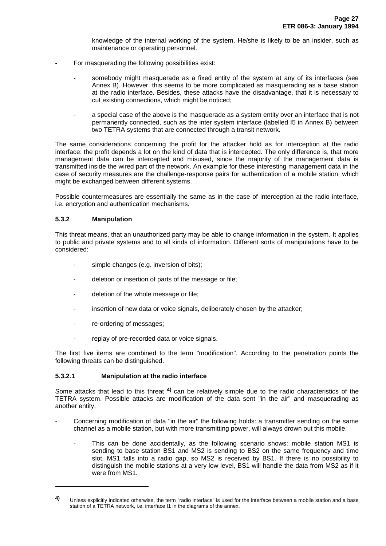knowledge of the internal working of the system. He/she is likely to be an insider, such as maintenance or operating personnel.

- **-** For masquerading the following possibilities exist:
	- somebody might masquerade as a fixed entity of the system at any of its interfaces (see Annex B). However, this seems to be more complicated as masquerading as a base station at the radio interface. Besides, these attacks have the disadvantage, that it is necessary to cut existing connections, which might be noticed;
	- a special case of the above is the masquerade as a system entity over an interface that is not permanently connected, such as the inter system interface (labelled I5 in Annex B) between two TETRA systems that are connected through a transit network.

The same considerations concerning the profit for the attacker hold as for interception at the radio interface: the profit depends a lot on the kind of data that is intercepted. The only difference is, that more management data can be intercepted and misused, since the majority of the management data is transmitted inside the wired part of the network. An example for these interesting management data in the case of security measures are the challenge-response pairs for authentication of a mobile station, which might be exchanged between different systems.

Possible countermeasures are essentially the same as in the case of interception at the radio interface, i.e. encryption and authentication mechanisms.

## **5.3.2 Manipulation**

l

This threat means, that an unauthorized party may be able to change information in the system. It applies to public and private systems and to all kinds of information. Different sorts of manipulations have to be considered:

- simple changes (e.g. inversion of bits);
- deletion or insertion of parts of the message or file;
- deletion of the whole message or file;
- insertion of new data or voice signals, deliberately chosen by the attacker;
- re-ordering of messages:
- replay of pre-recorded data or voice signals.

The first five items are combined to the term "modification". According to the penetration points the following threats can be distinguished.

### **5.3.2.1 Manipulation at the radio interface**

Some attacks that lead to this threat **4)** can be relatively simple due to the radio characteristics of the TETRA system. Possible attacks are modification of the data sent "in the air" and masquerading as another entity.

- Concerning modification of data "in the air" the following holds: a transmitter sending on the same channel as a mobile station, but with more transmitting power, will always drown out this mobile.
	- This can be done accidentally, as the following scenario shows: mobile station MS1 is sending to base station BS1 and MS2 is sending to BS2 on the same frequency and time slot. MS1 falls into a radio gap, so MS2 is received by BS1. If there is no possibility to distinguish the mobile stations at a very low level, BS1 will handle the data from MS2 as if it were from MS1.

**<sup>4)</sup>** Unless explicitly indicated otherwise, the term "radio interface" is used for the interface between a mobile station and a base station of a TETRA network, i.e. interface I1 in the diagrams of the annex.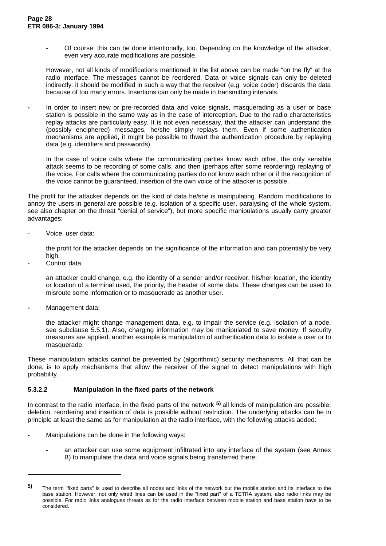Of course, this can be done intentionally, too. Depending on the knowledge of the attacker, even very accurate modifications are possible.

However, not all kinds of modifications mentioned in the list above can be made "on the fly" at the radio interface. The messages cannot be reordered. Data or voice signals can only be deleted indirectly: it should be modified in such a way that the receiver (e.g. voice coder) discards the data because of too many errors. Insertions can only be made in transmitting intervals.

**-** In order to insert new or pre-recorded data and voice signals, masquerading as a user or base station is possible in the same way as in the case of interception. Due to the radio characteristics replay attacks are particularly easy. It is not even necessary, that the attacker can understand the (possibly enciphered) messages, he/she simply replays them. Even if some authentication mechanisms are applied, it might be possible to thwart the authentication procedure by replaying data (e.g. identifiers and passwords).

In the case of voice calls where the communicating parties know each other, the only sensible attack seems to be recording of some calls, and then (perhaps after some reordering) replaying of the voice. For calls where the communicating parties do not know each other or if the recognition of the voice cannot be guaranteed, insertion of the own voice of the attacker is possible.

The profit for the attacker depends on the kind of data he/she is manipulating. Random modifications to annoy the users in general are possible (e.g. isolation of a specific user, paralysing of the whole system, see also chapter on the threat "denial of service"), but more specific manipulations usually carry greater advantages:

Voice, user data:

the profit for the attacker depends on the significance of the information and can potentially be very high.

Control data:

an attacker could change, e.g. the identity of a sender and/or receiver, his/her location, the identity or location of a terminal used, the priority, the header of some data. These changes can be used to misroute some information or to masquerade as another user.

**-** Management data:

l

the attacker might change management data, e.g. to impair the service (e.g. isolation of a node, see subclause 5.5.1). Also, charging information may be manipulated to save money. If security measures are applied, another example is manipulation of authentication data to isolate a user or to masquerade.

These manipulation attacks cannot be prevented by (algorithmic) security mechanisms. All that can be done, is to apply mechanisms that allow the receiver of the signal to detect manipulations with high probability.

## **5.3.2.2 Manipulation in the fixed parts of the network**

In contrast to the radio interface, in the fixed parts of the network **5)** all kinds of manipulation are possible: deletion, reordering and insertion of data is possible without restriction. The underlying attacks can be in principle at least the same as for manipulation at the radio interface, with the following attacks added:

- **-** Manipulations can be done in the following ways:
	- an attacker can use some equipment infiltrated into any interface of the system (see Annex B) to manipulate the data and voice signals being transferred there;

**<sup>5)</sup>** The term "fixed parts" is used to describe all nodes and links of the network but the mobile station and its interface to the base station. However, not only wired lines can be used in the "fixed part" of a TETRA system, also radio links may be possible. For radio links analogues threats as for the radio interface between mobile station and base station have to be considered.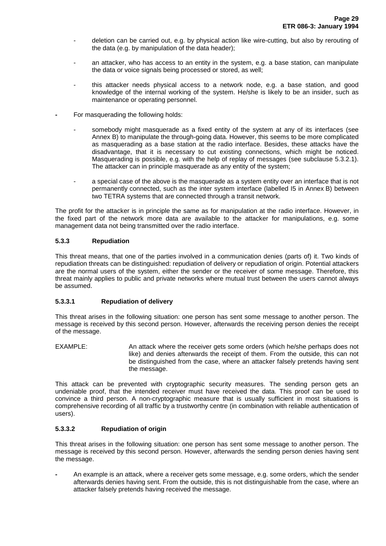- deletion can be carried out, e.g. by physical action like wire-cutting, but also by rerouting of the data (e.g. by manipulation of the data header);
- an attacker, who has access to an entity in the system, e.g. a base station, can manipulate the data or voice signals being processed or stored, as well;
- this attacker needs physical access to a network node, e.g. a base station, and good knowledge of the internal working of the system. He/she is likely to be an insider, such as maintenance or operating personnel.
- **-** For masquerading the following holds:
	- somebody might masquerade as a fixed entity of the system at any of its interfaces (see Annex B) to manipulate the through-going data. However, this seems to be more complicated as masquerading as a base station at the radio interface. Besides, these attacks have the disadvantage, that it is necessary to cut existing connections, which might be noticed. Masquerading is possible, e.g. with the help of replay of messages (see subclause 5.3.2.1). The attacker can in principle masquerade as any entity of the system;
	- a special case of the above is the masquerade as a system entity over an interface that is not permanently connected, such as the inter system interface (labelled I5 in Annex B) between two TETRA systems that are connected through a transit network.

The profit for the attacker is in principle the same as for manipulation at the radio interface. However, in the fixed part of the network more data are available to the attacker for manipulations, e.g. some management data not being transmitted over the radio interface.

## **5.3.3 Repudiation**

This threat means, that one of the parties involved in a communication denies (parts of) it. Two kinds of repudiation threats can be distinguished: repudiation of delivery or repudiation of origin. Potential attackers are the normal users of the system, either the sender or the receiver of some message. Therefore, this threat mainly applies to public and private networks where mutual trust between the users cannot always be assumed.

## **5.3.3.1 Repudiation of delivery**

This threat arises in the following situation: one person has sent some message to another person. The message is received by this second person. However, afterwards the receiving person denies the receipt of the message.

EXAMPLE: An attack where the receiver gets some orders (which he/she perhaps does not like) and denies afterwards the receipt of them. From the outside, this can not be distinguished from the case, where an attacker falsely pretends having sent the message.

This attack can be prevented with cryptographic security measures. The sending person gets an undeniable proof, that the intended receiver must have received the data. This proof can be used to convince a third person. A non-cryptographic measure that is usually sufficient in most situations is comprehensive recording of all traffic by a trustworthy centre (in combination with reliable authentication of users).

## **5.3.3.2 Repudiation of origin**

This threat arises in the following situation: one person has sent some message to another person. The message is received by this second person. However, afterwards the sending person denies having sent the message.

**-** An example is an attack, where a receiver gets some message, e.g. some orders, which the sender afterwards denies having sent. From the outside, this is not distinguishable from the case, where an attacker falsely pretends having received the message.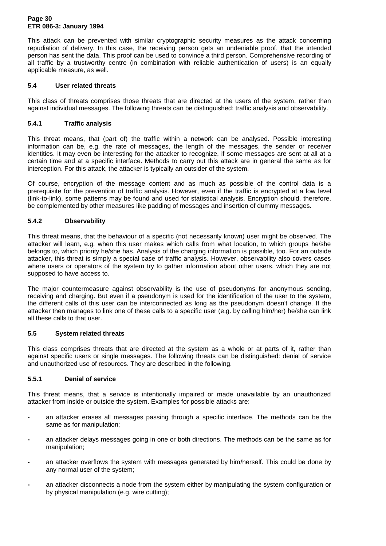## **Page 30 ETR 086-3: January 1994**

This attack can be prevented with similar cryptographic security measures as the attack concerning repudiation of delivery. In this case, the receiving person gets an undeniable proof, that the intended person has sent the data. This proof can be used to convince a third person. Comprehensive recording of all traffic by a trustworthy centre (in combination with reliable authentication of users) is an equally applicable measure, as well.

## **5.4 User related threats**

This class of threats comprises those threats that are directed at the users of the system, rather than against individual messages. The following threats can be distinguished: traffic analysis and observability.

### **5.4.1 Traffic analysis**

This threat means, that (part of) the traffic within a network can be analysed. Possible interesting information can be, e.g. the rate of messages, the length of the messages, the sender or receiver identities. It may even be interesting for the attacker to recognize, if some messages are sent at all at a certain time and at a specific interface. Methods to carry out this attack are in general the same as for interception. For this attack, the attacker is typically an outsider of the system.

Of course, encryption of the message content and as much as possible of the control data is a prerequisite for the prevention of traffic analysis. However, even if the traffic is encrypted at a low level (link-to-link), some patterns may be found and used for statistical analysis. Encryption should, therefore, be complemented by other measures like padding of messages and insertion of dummy messages.

## **5.4.2 Observability**

This threat means, that the behaviour of a specific (not necessarily known) user might be observed. The attacker will learn, e.g. when this user makes which calls from what location, to which groups he/she belongs to, which priority he/she has. Analysis of the charging information is possible, too. For an outside attacker, this threat is simply a special case of traffic analysis. However, observability also covers cases where users or operators of the system try to gather information about other users, which they are not supposed to have access to.

The major countermeasure against observability is the use of pseudonyms for anonymous sending, receiving and charging. But even if a pseudonym is used for the identification of the user to the system, the different calls of this user can be interconnected as long as the pseudonym doesn't change. If the attacker then manages to link one of these calls to a specific user (e.g. by calling him/her) he/she can link all these calls to that user.

## **5.5 System related threats**

This class comprises threats that are directed at the system as a whole or at parts of it, rather than against specific users or single messages. The following threats can be distinguished: denial of service and unauthorized use of resources. They are described in the following.

## **5.5.1 Denial of service**

This threat means, that a service is intentionally impaired or made unavailable by an unauthorized attacker from inside or outside the system. Examples for possible attacks are:

- **-** an attacker erases all messages passing through a specific interface. The methods can be the same as for manipulation;
- **-** an attacker delays messages going in one or both directions. The methods can be the same as for manipulation;
- **-** an attacker overflows the system with messages generated by him/herself. This could be done by any normal user of the system;
- **-** an attacker disconnects a node from the system either by manipulating the system configuration or by physical manipulation (e.g. wire cutting);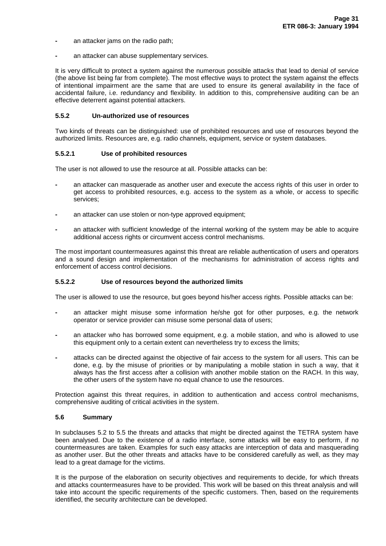- **-** an attacker jams on the radio path;
- **-** an attacker can abuse supplementary services.

It is very difficult to protect a system against the numerous possible attacks that lead to denial of service (the above list being far from complete). The most effective ways to protect the system against the effects of intentional impairment are the same that are used to ensure its general availability in the face of accidental failure, i.e. redundancy and flexibility. In addition to this, comprehensive auditing can be an effective deterrent against potential attackers.

#### **5.5.2 Un-authorized use of resources**

Two kinds of threats can be distinguished: use of prohibited resources and use of resources beyond the authorized limits. Resources are, e.g. radio channels, equipment, service or system databases.

### **5.5.2.1 Use of prohibited resources**

The user is not allowed to use the resource at all. Possible attacks can be:

- **-** an attacker can masquerade as another user and execute the access rights of this user in order to get access to prohibited resources, e.g. access to the system as a whole, or access to specific services;
- **-** an attacker can use stolen or non-type approved equipment;
- **-** an attacker with sufficient knowledge of the internal working of the system may be able to acquire additional access rights or circumvent access control mechanisms.

The most important countermeasures against this threat are reliable authentication of users and operators and a sound design and implementation of the mechanisms for administration of access rights and enforcement of access control decisions.

### **5.5.2.2 Use of resources beyond the authorized limits**

The user is allowed to use the resource, but goes beyond his/her access rights. Possible attacks can be:

- **-** an attacker might misuse some information he/she got for other purposes, e.g. the network operator or service provider can misuse some personal data of users;
- **-** an attacker who has borrowed some equipment, e.g. a mobile station, and who is allowed to use this equipment only to a certain extent can nevertheless try to excess the limits;
- **-** attacks can be directed against the objective of fair access to the system for all users. This can be done, e.g. by the misuse of priorities or by manipulating a mobile station in such a way, that it always has the first access after a collision with another mobile station on the RACH. In this way, the other users of the system have no equal chance to use the resources.

Protection against this threat requires, in addition to authentication and access control mechanisms, comprehensive auditing of critical activities in the system.

#### **5.6 Summary**

In subclauses 5.2 to 5.5 the threats and attacks that might be directed against the TETRA system have been analysed. Due to the existence of a radio interface, some attacks will be easy to perform, if no countermeasures are taken. Examples for such easy attacks are interception of data and masquerading as another user. But the other threats and attacks have to be considered carefully as well, as they may lead to a great damage for the victims.

It is the purpose of the elaboration on security objectives and requirements to decide, for which threats and attacks countermeasures have to be provided. This work will be based on this threat analysis and will take into account the specific requirements of the specific customers. Then, based on the requirements identified, the security architecture can be developed.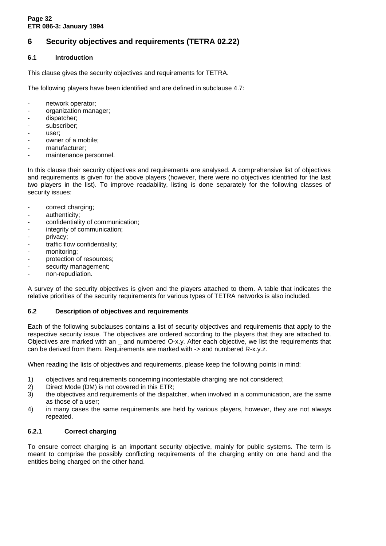## **6 Security objectives and requirements (TETRA 02.22)**

## **6.1 Introduction**

This clause gives the security objectives and requirements for TETRA.

The following players have been identified and are defined in subclause 4.7:

- network operator;
- organization manager;
- dispatcher:
- subscriber:
- user:
- owner of a mobile;
- manufacturer;
- maintenance personnel.

In this clause their security objectives and requirements are analysed. A comprehensive list of objectives and requirements is given for the above players (however, there were no objectives identified for the last two players in the list). To improve readability, listing is done separately for the following classes of security issues:

- correct charging;
- authenticity;
- confidentiality of communication:
- integrity of communication;
- privacy;
- traffic flow confidentiality;
- monitoring;
- protection of resources;
- security management;
- non-repudiation.

A survey of the security objectives is given and the players attached to them. A table that indicates the relative priorities of the security requirements for various types of TETRA networks is also included.

## **6.2 Description of objectives and requirements**

Each of the following subclauses contains a list of security objectives and requirements that apply to the respective security issue. The objectives are ordered according to the players that they are attached to. Objectives are marked with an **\_** and numbered O-x.y. After each objective, we list the requirements that can be derived from them. Requirements are marked with -> and numbered R-x.y.z.

When reading the lists of objectives and requirements, please keep the following points in mind:

- 1) objectives and requirements concerning incontestable charging are not considered;
- 2) Direct Mode (DM) is not covered in this ETR;
- 3) the objectives and requirements of the dispatcher, when involved in a communication, are the same as those of a user;
- 4) in many cases the same requirements are held by various players, however, they are not always repeated.

## **6.2.1 Correct charging**

To ensure correct charging is an important security objective, mainly for public systems. The term is meant to comprise the possibly conflicting requirements of the charging entity on one hand and the entities being charged on the other hand.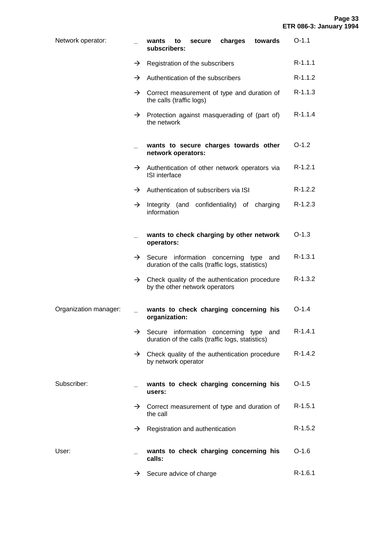| Network operator:     |               | charges<br>towards<br>wants<br>to<br>secure<br>subscribers:                                   | $O-1.1$     |
|-----------------------|---------------|-----------------------------------------------------------------------------------------------|-------------|
|                       | $\rightarrow$ | Registration of the subscribers                                                               | $R-1.1.1$   |
|                       | $\rightarrow$ | Authentication of the subscribers                                                             | $R-1.1.2$   |
|                       | $\rightarrow$ | Correct measurement of type and duration of<br>the calls (traffic logs)                       | $R - 1.1.3$ |
|                       | $\rightarrow$ | Protection against masquerading of (part of)<br>the network                                   | $R-1.1.4$   |
|                       |               | wants to secure charges towards other<br>network operators:                                   | $O-1.2$     |
|                       | $\rightarrow$ | Authentication of other network operators via<br><b>ISI</b> interface                         | $R-1.2.1$   |
|                       | →             | Authentication of subscribers via ISI                                                         | $R-1.2.2$   |
|                       | $\rightarrow$ | Integrity (and confidentiality) of<br>charging<br>information                                 | $R-1.2.3$   |
|                       |               | wants to check charging by other network<br>operators:                                        | $O-1.3$     |
|                       | $\rightarrow$ | Secure information concerning type and<br>duration of the calls (traffic logs, statistics)    | $R - 1.3.1$ |
|                       | $\rightarrow$ | Check quality of the authentication procedure<br>by the other network operators               | $R-1.3.2$   |
| Organization manager: |               | wants to check charging concerning his<br>organization:                                       | $O-1.4$     |
|                       | $\rightarrow$ | Secure information concerning type<br>and<br>duration of the calls (traffic logs, statistics) | $R-1.4.1$   |
|                       | $\rightarrow$ | Check quality of the authentication procedure<br>by network operator                          | $R-1.4.2$   |
| Subscriber:           |               | wants to check charging concerning his<br>users:                                              | $O-1.5$     |
|                       | $\rightarrow$ | Correct measurement of type and duration of<br>the call                                       | $R-1.5.1$   |
|                       | $\rightarrow$ | Registration and authentication                                                               | $R-1.5.2$   |
| User:                 |               | wants to check charging concerning his<br>calls:                                              | $O-1.6$     |
|                       | $\rightarrow$ | Secure advice of charge                                                                       | $R-1.6.1$   |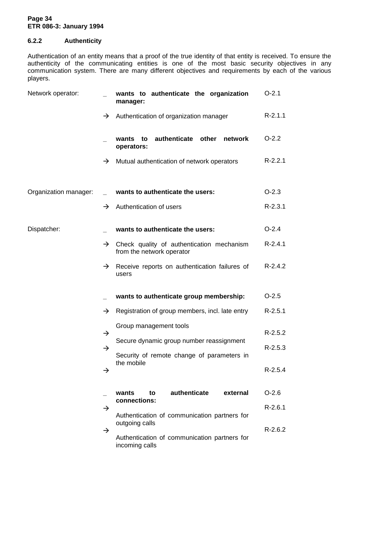## **6.2.2 Authenticity**

Authentication of an entity means that a proof of the true identity of that entity is received. To ensure the authenticity of the communicating entities is one of the most basic security objectives in any communication system. There are many different objectives and requirements by each of the various players.

| Network operator:     |               | wants to authenticate the organization<br>manager:                     | $O-2.1$     |
|-----------------------|---------------|------------------------------------------------------------------------|-------------|
|                       | $\rightarrow$ | Authentication of organization manager                                 | $R-2.1.1$   |
|                       |               | authenticate other<br>network<br>wants<br>to<br>operators:             | $O-2.2$     |
|                       | $\rightarrow$ | Mutual authentication of network operators                             | $R-2.2.1$   |
| Organization manager: |               | wants to authenticate the users:                                       | $O-2.3$     |
|                       | $\rightarrow$ | Authentication of users                                                | $R - 2.3.1$ |
| Dispatcher:           |               | wants to authenticate the users:                                       | $O - 2.4$   |
|                       | $\rightarrow$ | Check quality of authentication mechanism<br>from the network operator | $R-2.4.1$   |
|                       | $\rightarrow$ | Receive reports on authentication failures of<br>users                 | $R-2.4.2$   |
|                       |               | wants to authenticate group membership:                                | $O-2.5$     |
|                       | $\rightarrow$ | Registration of group members, incl. late entry                        | $R-2.5.1$   |
|                       | $\rightarrow$ | Group management tools                                                 | $R-2.5.2$   |
|                       |               | Secure dynamic group number reassignment                               |             |
|                       | $\rightarrow$ | Security of remote change of parameters in<br>the mobile               | $R-2.5.3$   |
|                       | →             |                                                                        | $R-2.5.4$   |
|                       |               | authenticate<br>external<br>wants<br>to<br>connections:                | $O-2.6$     |
|                       | →             | Authentication of communication partners for<br>outgoing calls         | $R-2.6.1$   |
|                       | $\rightarrow$ | Authentication of communication partners for<br>incoming calls         | $R-2.6.2$   |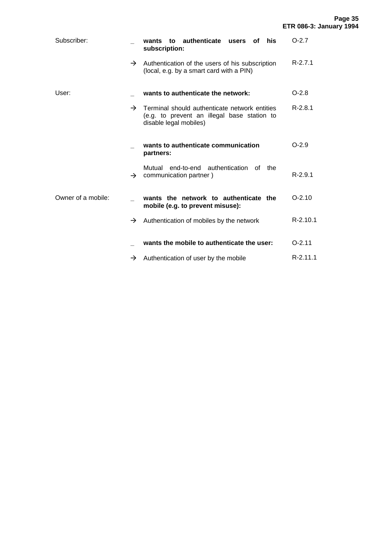| Subscriber:        |               | authenticate<br>his<br>wants<br>to<br>users<br>οf<br>subscription:                                                     | $O-2.7$     |
|--------------------|---------------|------------------------------------------------------------------------------------------------------------------------|-------------|
|                    |               | $\rightarrow$ Authentication of the users of his subscription<br>(local, e.g. by a smart card with a PIN)              | $R-2.7.1$   |
| User:              |               | wants to authenticate the network:                                                                                     | $O-2.8$     |
|                    | $\rightarrow$ | Terminal should authenticate network entities<br>(e.g. to prevent an illegal base station to<br>disable legal mobiles) | $R - 2.8.1$ |
|                    |               | wants to authenticate communication<br>partners:                                                                       | $O-2.9$     |
|                    | $\rightarrow$ | end-to-end authentication<br>Mutual<br>of<br>the<br>communication partner)                                             | $R-2.9.1$   |
| Owner of a mobile: |               | wants the network to authenticate the<br>mobile (e.g. to prevent misuse):                                              | $O-2.10$    |
|                    | $\rightarrow$ | Authentication of mobiles by the network                                                                               | $R-2.10.1$  |
|                    |               | wants the mobile to authenticate the user:                                                                             | $O-2.11$    |
|                    | →             | Authentication of user by the mobile                                                                                   | $R-2.11.1$  |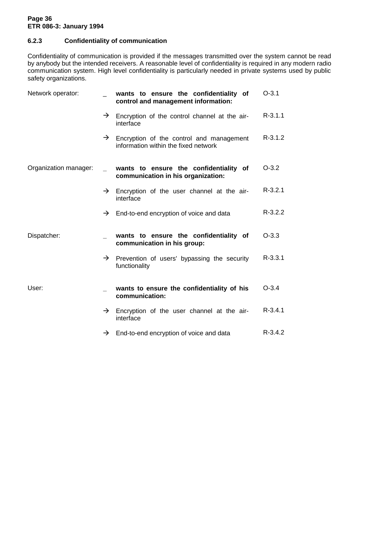## **6.2.3 Confidentiality of communication**

Confidentiality of communication is provided if the messages transmitted over the system cannot be read by anybody but the intended receivers. A reasonable level of confidentiality is required in any modern radio communication system. High level confidentiality is particularly needed in private systems used by public safety organizations.

| Network operator:     |               | wants to ensure the confidentiality of<br>control and management information:    | $O-3.1$     |
|-----------------------|---------------|----------------------------------------------------------------------------------|-------------|
|                       | $\rightarrow$ | Encryption of the control channel at the air-<br>interface                       | $R - 3.1.1$ |
|                       | $\rightarrow$ | Encryption of the control and management<br>information within the fixed network | $R - 3.1.2$ |
| Organization manager: |               | wants to ensure the confidentiality of<br>communication in his organization:     | $O-3.2$     |
|                       |               | $\rightarrow$ Encryption of the user channel at the air-<br>interface            | $R - 3.2.1$ |
|                       | $\rightarrow$ | End-to-end encryption of voice and data                                          | $R - 3.2.2$ |
| Dispatcher:           |               | wants to ensure the confidentiality of<br>communication in his group:            | $O-3.3$     |
|                       | $\rightarrow$ | Prevention of users' bypassing the security<br>functionality                     | $R - 3.3.1$ |
| User:                 |               | wants to ensure the confidentiality of his<br>communication:                     | $O-3.4$     |
|                       | $\rightarrow$ | Encryption of the user channel at the air-<br>interface                          | $R - 3.4.1$ |
|                       |               | $\rightarrow$ End-to-end encryption of voice and data                            | $R - 3.4.2$ |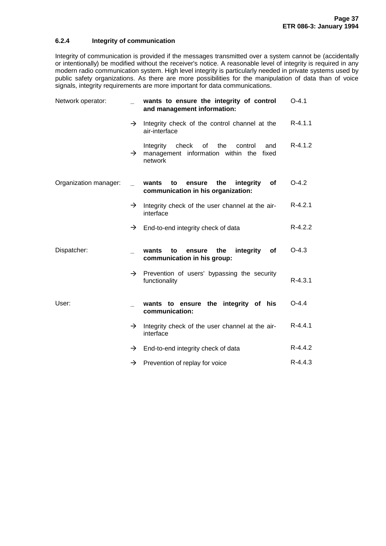## **6.2.4 Integrity of communication**

Integrity of communication is provided if the messages transmitted over a system cannot be (accidentally or intentionally) be modified without the receiver's notice. A reasonable level of integrity is required in any modern radio communication system. High level integrity is particularly needed in private systems used by public safety organizations. As there are more possibilities for the manipulation of data than of voice signals, integrity requirements are more important for data communications.

| Network operator:     |               | wants to ensure the integrity of control<br>and management information:                                    | $O - 4.1$   |
|-----------------------|---------------|------------------------------------------------------------------------------------------------------------|-------------|
|                       | $\rightarrow$ | Integrity check of the control channel at the<br>air-interface                                             | $R-4.1.1$   |
|                       | $\rightarrow$ | Integrity<br>check<br>0f<br>the<br>and<br>control<br>management information within the<br>fixed<br>network | $R - 4.1.2$ |
| Organization manager: |               | the<br>wants<br>integrity<br>οf<br>to<br>ensure<br>communication in his organization:                      | $O - 4.2$   |
|                       | $\rightarrow$ | Integrity check of the user channel at the air-<br>interface                                               | $R-4.2.1$   |
|                       | $\rightarrow$ | End-to-end integrity check of data                                                                         | $R-4.2.2$   |
| Dispatcher:           |               | integrity<br>the<br><b>of</b><br>wants<br>to<br>ensure<br>communication in his group:                      | $O - 4.3$   |
|                       | $\rightarrow$ | Prevention of users' bypassing the security<br>functionality                                               | $R - 4.3.1$ |
| User:                 |               | wants to ensure the integrity of his<br>communication:                                                     | $O - 4.4$   |
|                       | $\rightarrow$ | Integrity check of the user channel at the air-<br>interface                                               | $R-4.4.1$   |
|                       | $\rightarrow$ | End-to-end integrity check of data                                                                         | $R - 4.4.2$ |
|                       | $\rightarrow$ | Prevention of replay for voice                                                                             | $R-4.4.3$   |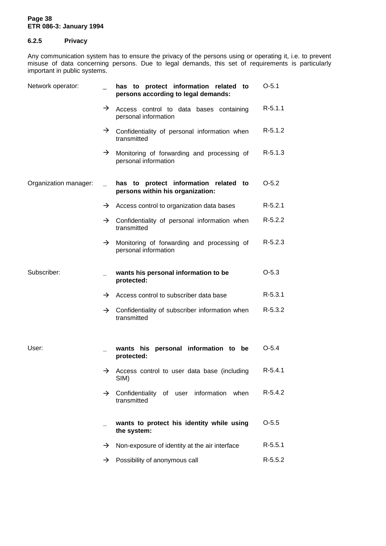## **6.2.5 Privacy**

Any communication system has to ensure the privacy of the persons using or operating it, i.e. to prevent misuse of data concerning persons. Due to legal demands, this set of requirements is particularly important in public systems.

| Network operator:     |               | has to protect information related to<br>persons according to legal demands: | $O-5.1$     |
|-----------------------|---------------|------------------------------------------------------------------------------|-------------|
|                       | $\rightarrow$ | Access control to data bases containing<br>personal information              | $R - 5.1.1$ |
|                       | $\rightarrow$ | Confidentiality of personal information when<br>transmitted                  | $R - 5.1.2$ |
|                       | $\rightarrow$ | Monitoring of forwarding and processing of<br>personal information           | $R-5.1.3$   |
| Organization manager: |               | has to protect information related to<br>persons within his organization:    | $O-5.2$     |
|                       | →             | Access control to organization data bases                                    | $R-5.2.1$   |
|                       | $\rightarrow$ | Confidentiality of personal information when<br>transmitted                  | $R-5.2.2$   |
|                       | $\rightarrow$ | Monitoring of forwarding and processing of<br>personal information           | $R - 5.2.3$ |
| Subscriber:           |               | wants his personal information to be<br>protected:                           | $O-5.3$     |
|                       | $\rightarrow$ | Access control to subscriber data base                                       | $R - 5.3.1$ |
|                       | $\rightarrow$ | Confidentiality of subscriber information when<br>transmitted                | $R-5.3.2$   |
| User:                 |               | wants his personal information to be<br>protected:                           | $O-5.4$     |
|                       | $\rightarrow$ | Access control to user data base (including<br>SIM)                          | $R-5.4.1$   |
|                       | $\rightarrow$ | Confidentiality of user information when<br>transmitted                      | $R-5.4.2$   |
|                       |               | wants to protect his identity while using<br>the system:                     | $O-5.5$     |
|                       | $\rightarrow$ | Non-exposure of identity at the air interface                                | $R-5.5.1$   |
|                       | $\rightarrow$ | Possibility of anonymous call                                                | $R-5.5.2$   |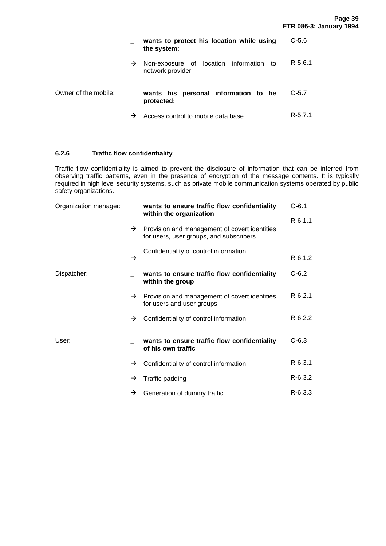|                      |               | wants to protect his location while using<br>the system:    | $O-5.6$     |
|----------------------|---------------|-------------------------------------------------------------|-------------|
|                      | $\rightarrow$ | Non-exposure of location information to<br>network provider | $R - 5.6.1$ |
| Owner of the mobile: |               | wants his personal information to be<br>protected:          | $O-5.7$     |
|                      | $\rightarrow$ | Access control to mobile data base                          | $R - 5.7.1$ |

## **6.2.6 Traffic flow confidentiality**

Traffic flow confidentiality is aimed to prevent the disclosure of information that can be inferred from observing traffic patterns, even in the presence of encryption of the message contents. It is typically required in high level security systems, such as private mobile communication systems operated by public required in high level security systems, such as private mobile communication systems operated by public safety organizations.

| Organization manager: |               | wants to ensure traffic flow confidentiality<br>within the organization                  | $O-6.1$     |
|-----------------------|---------------|------------------------------------------------------------------------------------------|-------------|
|                       |               |                                                                                          | $R - 6.1.1$ |
|                       | $\rightarrow$ | Provision and management of covert identities<br>for users, user groups, and subscribers |             |
|                       | →             | Confidentiality of control information                                                   | $R-6.1.2$   |
|                       |               |                                                                                          |             |
| Dispatcher:           |               | wants to ensure traffic flow confidentiality<br>within the group                         | $O-6.2$     |
|                       | $\rightarrow$ | Provision and management of covert identities<br>for users and user groups               | $R-6.2.1$   |
|                       | →             | Confidentiality of control information                                                   | $R-6.2.2$   |
| User:                 |               | wants to ensure traffic flow confidentiality                                             | $O-6.3$     |
|                       |               | of his own traffic                                                                       |             |
|                       | →             | Confidentiality of control information                                                   | $R - 6.3.1$ |
|                       | →             | Traffic padding                                                                          | $R-6.3.2$   |
|                       | →             | Generation of dummy traffic                                                              | $R-6.3.3$   |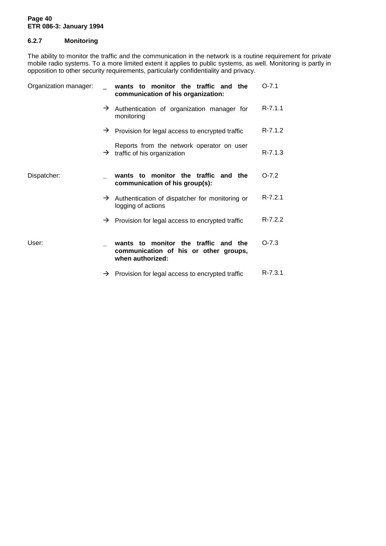## **6.2.7 Monitoring**

The ability to monitor the traffic and the communication in the network is a routine requirement for private mobile radio systems. To a more limited extent it applies to public systems, as well. Monitoring is partly in opposition to other security requirements, particularly confidentiality and privacy.

| Organization manager: |               | wants to monitor the traffic and the<br>communication of his organization:                        | $O - 7.1$   |
|-----------------------|---------------|---------------------------------------------------------------------------------------------------|-------------|
|                       |               | $\rightarrow$ Authentication of organization manager for<br>monitoring                            | $R - 7.1.1$ |
|                       |               | $\rightarrow$ Provision for legal access to encrypted traffic                                     | $R - 7.1.2$ |
|                       | $\rightarrow$ | Reports from the network operator on user<br>traffic of his organization                          | $R - 7.1.3$ |
| Dispatcher:           |               | wants to monitor the traffic<br>and the<br>communication of his group(s):                         | $O - 7.2$   |
|                       |               | $\rightarrow$ Authentication of dispatcher for monitoring or<br>logging of actions                | $R - 7.2.1$ |
|                       |               | $\rightarrow$ Provision for legal access to encrypted traffic                                     | $R - 7.2.2$ |
| User:                 |               | wants to monitor the traffic and the<br>communication of his or other groups,<br>when authorized: | $O - 7.3$   |
|                       |               | $\rightarrow$ Provision for legal access to encrypted traffic                                     | $R - 7.3.1$ |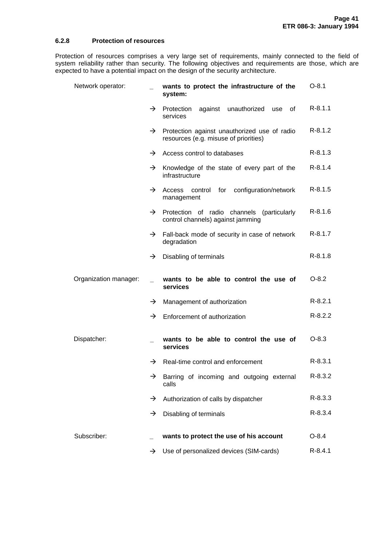## **6.2.8 Protection of resources**

Protection of resources comprises a very large set of requirements, mainly connected to the field of system reliability rather than security. The following objectives and requirements are those, which are expected to have a potential impact on the design of the security architecture.

| Network operator:     |               | wants to protect the infrastructure of the<br>system:                                 | $O-8.1$     |
|-----------------------|---------------|---------------------------------------------------------------------------------------|-------------|
|                       | $\rightarrow$ | Protection<br>against<br>unauthorized<br>use of<br>services                           | $R-8.1.1$   |
|                       | $\rightarrow$ | Protection against unauthorized use of radio<br>resources (e.g. misuse of priorities) | $R-8.1.2$   |
|                       | $\rightarrow$ | Access control to databases                                                           | $R - 8.1.3$ |
|                       | $\rightarrow$ | Knowledge of the state of every part of the<br>infrastructure                         | $R-8.1.4$   |
|                       | $\rightarrow$ | for configuration/network<br>Access<br>control<br>management                          | $R-8.1.5$   |
|                       | $\rightarrow$ | Protection of radio channels (particularly<br>control channels) against jamming       | $R-8.1.6$   |
|                       | $\rightarrow$ | Fall-back mode of security in case of network<br>degradation                          | $R-8.1.7$   |
|                       | →             | Disabling of terminals                                                                | $R - 8.1.8$ |
|                       |               |                                                                                       |             |
| Organization manager: |               | wants to be able to control the use of<br>services                                    | $O-8.2$     |
|                       | $\rightarrow$ | Management of authorization                                                           | $R - 8.2.1$ |
|                       | $\rightarrow$ | Enforcement of authorization                                                          | $R-8.2.2$   |
| Dispatcher:           |               | wants to be able to control the use of<br>services                                    | $O-8.3$     |
|                       | $\rightarrow$ | Real-time control and enforcement                                                     | $R - 8.3.1$ |
|                       | →             | Barring of incoming and outgoing external<br>calls                                    | $R-8.3.2$   |
|                       | $\rightarrow$ | Authorization of calls by dispatcher                                                  | $R - 8.3.3$ |
|                       | →             | Disabling of terminals                                                                | $R-8.3.4$   |
| Subscriber:           |               | wants to protect the use of his account                                               | $O-8.4$     |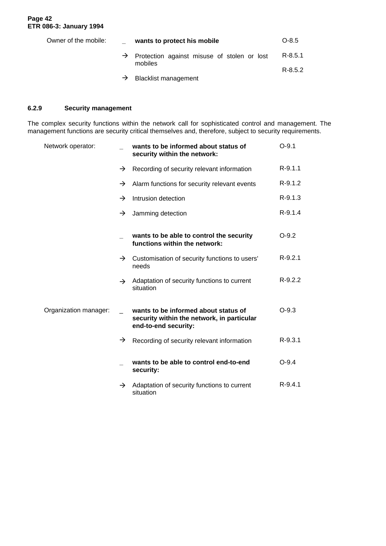| Owner of the mobile: | wants to protect his mobile                                          | $O-8.5$ |
|----------------------|----------------------------------------------------------------------|---------|
|                      | $\rightarrow$ Protection against misuse of stolen or lost<br>mobiles | R-8.5.1 |
|                      | $\rightarrow$ Blacklist management                                   | R-8.5.2 |

## **6.2.9 Security management**

The complex security functions within the network call for sophisticated control and management. The management functions are security critical themselves and, therefore, subject to security requirements.

| Network operator:     |               | wants to be informed about status of<br>security within the network:                                       | $O-9.1$   |
|-----------------------|---------------|------------------------------------------------------------------------------------------------------------|-----------|
|                       | $\rightarrow$ | Recording of security relevant information                                                                 | $R-9.1.1$ |
|                       | $\rightarrow$ | Alarm functions for security relevant events                                                               | $R-9.1.2$ |
|                       | $\rightarrow$ | Intrusion detection                                                                                        | $R-9.1.3$ |
|                       | $\rightarrow$ | Jamming detection                                                                                          | $R-9.1.4$ |
|                       |               | wants to be able to control the security<br>functions within the network:                                  | $O-9.2$   |
|                       | $\rightarrow$ | Customisation of security functions to users'<br>needs                                                     | $R-9.2.1$ |
|                       | $\rightarrow$ | Adaptation of security functions to current<br>situation                                                   | $R-9.2.2$ |
| Organization manager: |               | wants to be informed about status of<br>security within the network, in particular<br>end-to-end security: | $O-9.3$   |
|                       | $\rightarrow$ | Recording of security relevant information                                                                 | $R-9.3.1$ |
|                       |               | wants to be able to control end-to-end<br>security:                                                        | $O-9.4$   |
|                       | $\rightarrow$ | Adaptation of security functions to current<br>situation                                                   | $R-9.4.1$ |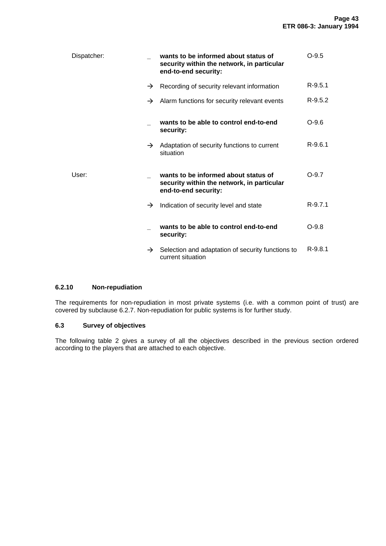| Dispatcher: |               | wants to be informed about status of<br>security within the network, in particular<br>end-to-end security: | $O-9.5$   |
|-------------|---------------|------------------------------------------------------------------------------------------------------------|-----------|
|             | $\rightarrow$ | Recording of security relevant information                                                                 | $R-9.5.1$ |
|             | $\rightarrow$ | Alarm functions for security relevant events                                                               | $R-9.5.2$ |
|             |               | wants to be able to control end-to-end<br>security:                                                        | $O-9.6$   |
|             | $\rightarrow$ | Adaptation of security functions to current<br>situation                                                   | $R-9.6.1$ |
| User:       |               | wants to be informed about status of<br>security within the network, in particular<br>end-to-end security: | $O-9.7$   |
|             | $\rightarrow$ | Indication of security level and state                                                                     | $R-9.7.1$ |
|             |               | wants to be able to control end-to-end<br>security:                                                        | $O-9.8$   |
|             | $\rightarrow$ | Selection and adaptation of security functions to<br>current situation                                     | $R-9.8.1$ |

## **6.2.10 Non-repudiation**

The requirements for non-repudiation in most private systems (i.e. with a common point of trust) are covered by subclause 6.2.7. Non-repudiation for public systems is for further study.

### **6.3 Survey of objectives**

The following table 2 gives a survey of all the objectives described in the previous section ordered according to the players that are attached to each objective.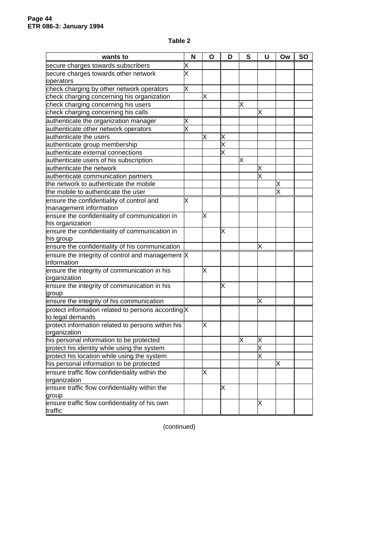| wants to                                                               |                         | N | O | D | S | U  | Ow                      | <b>SO</b> |
|------------------------------------------------------------------------|-------------------------|---|---|---|---|----|-------------------------|-----------|
| secure charges towards subscribers                                     | Χ                       |   |   |   |   |    |                         |           |
| secure charges towards other network                                   | X                       |   |   |   |   |    |                         |           |
| operators                                                              |                         |   |   |   |   |    |                         |           |
| check charging by other network operators                              | X                       |   |   |   |   |    |                         |           |
| check charging concerning his organization                             |                         |   | X |   |   |    |                         |           |
| check charging concerning his users                                    |                         |   |   |   | X |    |                         |           |
| check charging concerning his calls                                    |                         |   |   |   |   | X  |                         |           |
| authenticate the organization manager                                  | Χ                       |   |   |   |   |    |                         |           |
| authenticate other network operators                                   | $\overline{\mathsf{x}}$ |   |   |   |   |    |                         |           |
| authenticate the users                                                 |                         |   | X | X |   |    |                         |           |
| authenticate group membership                                          |                         |   |   | X |   |    |                         |           |
| authenticate external connections                                      |                         |   |   | Χ |   |    |                         |           |
| authenticate users of his subscription                                 |                         |   |   |   | Х |    |                         |           |
| authenticate the network                                               |                         |   |   |   |   | Х  |                         |           |
| authenticate communication partners                                    |                         |   |   |   |   | X  |                         |           |
| the network to authenticate the mobile                                 |                         |   |   |   |   |    | Χ                       |           |
| the mobile to authenticate the user                                    |                         |   |   |   |   |    | $\overline{\mathsf{x}}$ |           |
| ensure the confidentiality of control and                              | X.                      |   |   |   |   |    |                         |           |
| management information                                                 |                         |   |   |   |   |    |                         |           |
| ensure the confidentiality of communication in                         |                         |   | Х |   |   |    |                         |           |
| his organization                                                       |                         |   |   |   |   |    |                         |           |
| ensure the confidentiality of communication in                         |                         |   |   | X |   |    |                         |           |
| his group                                                              |                         |   |   |   |   |    |                         |           |
| ensure the confidentiality of his communication                        |                         |   |   |   |   | Х  |                         |           |
| ensure the integrity of control and management X<br>information        |                         |   |   |   |   |    |                         |           |
| ensure the integrity of communication in his<br>organization           |                         |   | Х |   |   |    |                         |           |
| ensure the integrity of communication in his<br>group                  |                         |   |   | X |   |    |                         |           |
| ensure the integrity of his communication                              |                         |   |   |   |   | Χ  |                         |           |
| protect information related to persons according X<br>to legal demands |                         |   |   |   |   |    |                         |           |
| protect information related to persons within his<br>organization      |                         |   | Х |   |   |    |                         |           |
| his personal information to be protected                               |                         |   |   |   | X | lx |                         |           |
| protect his identity while using the system                            |                         |   |   |   |   | Х  |                         |           |
| protect his location while using the system                            |                         |   |   |   |   | Х  |                         |           |
| his personal information to be protected                               |                         |   |   |   |   |    | X                       |           |
| ensure traffic flow confidentiality within the                         |                         |   | Χ |   |   |    |                         |           |
| organization                                                           |                         |   |   |   |   |    |                         |           |
| ensure traffic flow confidentiality within the                         |                         |   |   | X |   |    |                         |           |
| group                                                                  |                         |   |   |   |   |    |                         |           |
| ensure traffic flow confidentiality of his own<br>traffic              |                         |   |   |   |   | Х  |                         |           |

## **Table 2**

(continued)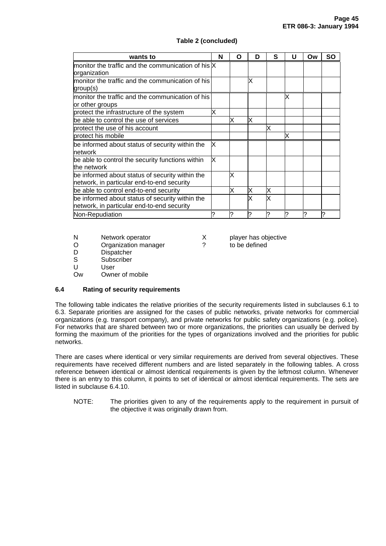| wants to                                                   | N | O | D  | S  | U  | Ow | SΟ |
|------------------------------------------------------------|---|---|----|----|----|----|----|
| monitor the traffic and the communication of his X         |   |   |    |    |    |    |    |
| organization                                               |   |   |    |    |    |    |    |
| monitor the traffic and the communication of his           |   |   | Χ  |    |    |    |    |
| group(s)                                                   |   |   |    |    |    |    |    |
| monitor the traffic and the communication of his           |   |   |    |    | X  |    |    |
| or other groups                                            |   |   |    |    |    |    |    |
| protect the infrastructure of the system                   | х |   |    |    |    |    |    |
| be able to control the use of services                     |   | X | ΙX |    |    |    |    |
| protect the use of his account                             |   |   |    | х  |    |    |    |
| protect his mobile                                         |   |   |    |    | X  |    |    |
| be informed about status of security within the<br>network | X |   |    |    |    |    |    |
| be able to control the security functions within           | x |   |    |    |    |    |    |
| the network                                                |   |   |    |    |    |    |    |
| be informed about status of security within the            |   | Χ |    |    |    |    |    |
| network, in particular end-to-end security                 |   |   |    |    |    |    |    |
| be able to control end-to-end security                     |   | х | Х  | x  |    |    |    |
| be informed about status of security within the            |   |   |    | Ιx |    |    |    |
| network, in particular end-to-end security                 |   |   |    |    |    |    |    |
| Non-Repudiation                                            | 7 |   | 17 | 7  | 17 |    | l? |

### **Table 2 (concluded)**

N Network operator <br>
O Craanization manager 
and  $\begin{array}{ccc} \times & \text{player has objective} \\ \text{O} & \text{Oraanization manager} \end{array}$ Organization manager

- D Dispatcher
- S Subscriber
- U User

Ow Owner of mobile

## **6.4 Rating of security requirements**

The following table indicates the relative priorities of the security requirements listed in subclauses 6.1 to 6.3. Separate priorities are assigned for the cases of public networks, private networks for commercial organizations (e.g. transport company), and private networks for public safety organizations (e.g. police). For networks that are shared between two or more organizations, the priorities can usually be derived by forming the maximum of the priorities for the types of organizations involved and the priorities for public networks.

There are cases where identical or very similar requirements are derived from several objectives. These requirements have received different numbers and are listed separately in the following tables. A cross reference between identical or almost identical requirements is given by the leftmost column. Whenever there is an entry to this column, it points to set of identical or almost identical requirements. The sets are listed in subclause 6.4.10.

NOTE: The priorities given to any of the requirements apply to the requirement in pursuit of the objective it was originally drawn from.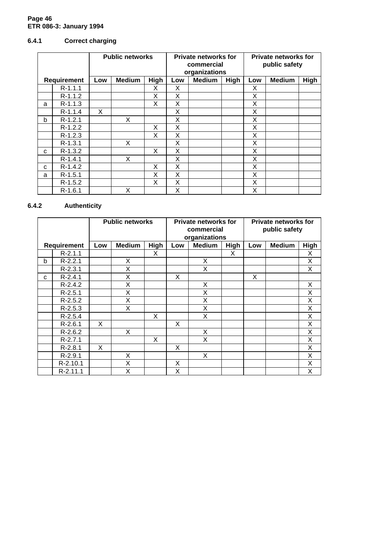## **6.4.1 Correct charging**

|   |                    |     | <b>Public networks</b> |      |     | <b>Private networks for</b><br>commercial<br>organizations |             | <b>Private networks for</b><br>public safety |               |      |
|---|--------------------|-----|------------------------|------|-----|------------------------------------------------------------|-------------|----------------------------------------------|---------------|------|
|   | <b>Requirement</b> | Low | <b>Medium</b>          | High | Low | <b>Medium</b>                                              | <b>High</b> | Low                                          | <b>Medium</b> | High |
|   | $R-1.1.1$          |     |                        | X    | X   |                                                            |             | X                                            |               |      |
|   | $R-1.1.2$          |     |                        | X    | X   |                                                            |             | X                                            |               |      |
| a | $R-1.1.3$          |     |                        | X    | X   |                                                            |             | X                                            |               |      |
|   | $R-1.1.4$          | X   |                        |      | X   |                                                            |             | X                                            |               |      |
| b | $R-1.2.1$          |     | X                      |      | X   |                                                            |             | X                                            |               |      |
|   | $R-1.2.2$          |     |                        | X    | X   |                                                            |             | X                                            |               |      |
|   | $R-1.2.3$          |     |                        | X    | X   |                                                            |             | X                                            |               |      |
|   | $R-1.3.1$          |     | X                      |      | X   |                                                            |             | X                                            |               |      |
| C | $R-1.3.2$          |     |                        | X    | X   |                                                            |             | X                                            |               |      |
|   | $R-1.4.1$          |     | X                      |      | X   |                                                            |             | X                                            |               |      |
| C | $R-1.4.2$          |     |                        | X    | X   |                                                            |             | X                                            |               |      |
| a | $R-1.5.1$          |     |                        | X    | X   |                                                            |             | X                                            |               |      |
|   | $R-1.5.2$          |     |                        | X    | X   |                                                            |             | X                                            |               |      |
|   | $R-1.6.1$          |     | X                      |      | X   |                                                            |             | X                                            |               |      |

## **6.4.2 Authenticity**

|   |             |     | <b>Public networks</b> |             |     | <b>Private networks for</b><br>commercial<br>organizations |             |     | <b>Private networks for</b><br>public safety |      |
|---|-------------|-----|------------------------|-------------|-----|------------------------------------------------------------|-------------|-----|----------------------------------------------|------|
|   | Requirement | Low | <b>Medium</b>          | <b>High</b> | Low | <b>Medium</b>                                              | <b>High</b> | Low | <b>Medium</b>                                | High |
|   | $R-2.1.1$   |     |                        | X           |     |                                                            | X           |     |                                              | X    |
| b | $R-2.2.1$   |     | X                      |             |     | X                                                          |             |     |                                              | X    |
|   | $R-2.3.1$   |     | X                      |             |     | X                                                          |             |     |                                              | X    |
| C | $R-2.4.1$   |     | X                      |             | X   |                                                            |             | X   |                                              |      |
|   | $R-2.4.2$   |     | X                      |             |     | X                                                          |             |     |                                              | X    |
|   | $R-2.5.1$   |     | X                      |             |     | X                                                          |             |     |                                              | X    |
|   | $R-2.5.2$   |     | X                      |             |     | X                                                          |             |     |                                              | X    |
|   | $R-2.5.3$   |     | X                      |             |     | X                                                          |             |     |                                              | X    |
|   | $R-2.5.4$   |     |                        | X           |     | X                                                          |             |     |                                              | X    |
|   | $R-2.6.1$   | X   |                        |             | X   |                                                            |             |     |                                              | X    |
|   | $R-2.6.2$   |     | X                      |             |     | X                                                          |             |     |                                              | X    |
|   | $R-2.7.1$   |     |                        | X           |     | X                                                          |             |     |                                              | X    |
|   | $R-2.8.1$   | X   |                        |             | X   |                                                            |             |     |                                              | X    |
|   | $R-2.9.1$   |     | X                      |             |     | X                                                          |             |     |                                              | X    |
|   | R-2.10.1    |     | X                      |             | X   |                                                            |             |     |                                              | Χ    |
|   | R-2.11.1    |     | X                      |             | X   |                                                            |             |     |                                              | Χ    |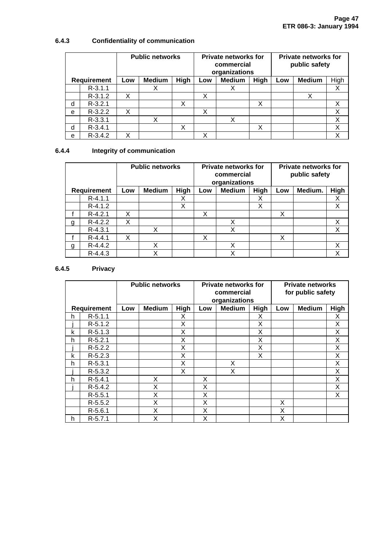## **6.4.3 Confidentiality of communication**

|   |                    |     | <b>Public networks</b> |      |     | <b>Private networks for</b><br>commercial<br>organizations |      |     | <b>Private networks for</b><br>public safety |      |
|---|--------------------|-----|------------------------|------|-----|------------------------------------------------------------|------|-----|----------------------------------------------|------|
|   | <b>Requirement</b> | Low | <b>Medium</b>          | High | Low | <b>Medium</b>                                              | High | Low | <b>Medium</b>                                | High |
|   | $R - 3.1.1$        |     | X                      |      |     | х                                                          |      |     |                                              | X    |
|   | $R - 3.1.2$        | х   |                        |      | X   |                                                            |      |     | Х                                            |      |
| d | $R - 3.2.1$        |     |                        | X    |     |                                                            | X    |     |                                              | X    |
| e | $R - 3.2.2$        | X   |                        |      | X   |                                                            |      |     |                                              | X    |
|   | $R - 3.3.1$        |     | x                      |      |     | Х                                                          |      |     |                                              | Х    |
| d | $R - 3.4.1$        |     |                        | Χ    |     |                                                            | Χ    |     |                                              | X    |
| e | $R - 3.4.2$        | х   |                        |      | v   |                                                            |      |     |                                              | х    |

## **6.4.4 Integrity of communication**

|   |                    |     | <b>Public networks</b> |      |     | <b>Private networks for</b><br>commercial<br>organizations |      |     | <b>Private networks for</b><br>public safety |             |
|---|--------------------|-----|------------------------|------|-----|------------------------------------------------------------|------|-----|----------------------------------------------|-------------|
|   | <b>Requirement</b> | Low | <b>Medium</b>          | High | Low | <b>Medium</b>                                              | High | Low | Medium.                                      | <b>High</b> |
|   | $R - 4.1.1$        |     |                        | Х    |     |                                                            | х    |     |                                              | X           |
|   | $R-4.1.2$          |     |                        | X    |     |                                                            | X    |     |                                              | X           |
|   | $R - 4.2.1$        | X   |                        |      | х   |                                                            |      | х   |                                              |             |
| g | $R-4.2.2$          | Х   |                        |      |     | х                                                          |      |     |                                              | X           |
|   | $R - 4.3.1$        |     | X                      |      |     | х                                                          |      |     |                                              | X           |
|   | $R - 4.4.1$        | X   |                        |      | X   |                                                            |      | х   |                                              |             |
| g | $R - 4.4.2$        |     | x                      |      |     | х                                                          |      |     |                                              | X           |
|   | $R - 4.4.3$        | X   |                        |      |     | Х                                                          |      |     |                                              | X           |

## **6.4.5 Privacy**

|    |                    |     | <b>Public networks</b> |             |     | <b>Private networks for</b><br>commercial<br>organizations |      | <b>Private networks</b><br>for public safety |               |             |  |
|----|--------------------|-----|------------------------|-------------|-----|------------------------------------------------------------|------|----------------------------------------------|---------------|-------------|--|
|    | <b>Requirement</b> | Low | <b>Medium</b>          | <b>High</b> | Low | <b>Medium</b>                                              | High | Low                                          | <b>Medium</b> | <b>High</b> |  |
| h  | $R-5.1.1$          |     |                        | Χ           |     |                                                            | X    |                                              |               | X           |  |
|    | $R-5.1.2$          |     |                        | Χ           |     |                                                            | X    |                                              |               | X           |  |
| k  | $R - 5.1.3$        |     |                        | X           |     |                                                            | X    |                                              |               | X           |  |
| h. | $R-5.2.1$          |     |                        | X           |     |                                                            | X    |                                              |               | X           |  |
|    | $R-5.2.2$          |     |                        | X           |     |                                                            | X    |                                              |               | Χ           |  |
| k  | $R - 5.2.3$        |     |                        | X           |     |                                                            | X    |                                              |               | X           |  |
| h  | $R-5.3.1$          |     |                        | X           |     | X                                                          |      |                                              |               | X           |  |
|    | $R-5.3.2$          |     |                        | X           |     | X                                                          |      |                                              |               | X           |  |
| h  | $R-5.4.1$          |     | X                      |             | X   |                                                            |      |                                              |               | X           |  |
|    | $R-5.4.2$          |     | X                      |             | X   |                                                            |      |                                              |               | X           |  |
|    | $R-5.5.1$          |     | X                      |             | X   |                                                            |      |                                              |               | X           |  |
|    | $R-5.5.2$          |     | X                      |             | X   |                                                            |      | X                                            |               |             |  |
|    | $R-5.6.1$          |     | X                      |             | X   |                                                            |      | X                                            |               |             |  |
| h  | $R-5.7.1$          |     | Χ                      |             | Χ   |                                                            |      | Χ                                            |               |             |  |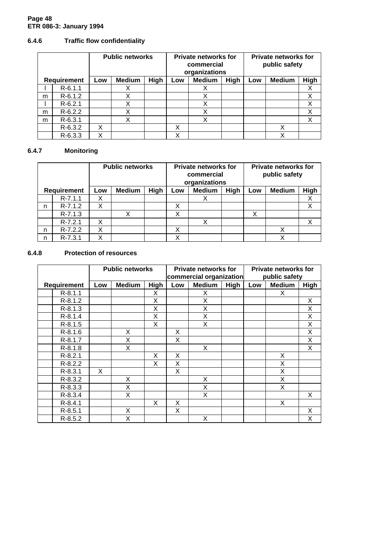## **Page 48 ETR 086-3: January 1994**

## **6.4.6 Traffic flow confidentiality**

|   |                    |     | <b>Public networks</b> |      |     | <b>Private networks for</b><br>commercial<br>organizations |      |     | <b>Private networks for</b><br>public safety |             |
|---|--------------------|-----|------------------------|------|-----|------------------------------------------------------------|------|-----|----------------------------------------------|-------------|
|   | <b>Requirement</b> | Low | <b>Medium</b>          | High | Low | <b>Medium</b>                                              | High | Low | <b>Medium</b>                                | <b>High</b> |
|   | $R - 6.1.1$        |     | х                      |      |     | х                                                          |      |     |                                              | Х           |
| m | $R-6.1.2$          |     |                        |      |     | Х                                                          |      |     |                                              |             |
|   | $R-6.2.1$          |     | х                      |      |     | х                                                          |      |     |                                              |             |
| m | $R-6.2.2$          |     | х                      |      |     | х                                                          |      |     |                                              | X           |
| m | $R-6.3.1$          |     | х                      |      |     | X                                                          |      |     |                                              |             |
|   | $R - 6.3.2$        | X   |                        |      | X   |                                                            |      |     | х                                            |             |
|   | $R - 6.3.3$        | х   |                        |      |     |                                                            |      |     | х                                            |             |

## **6.4.7 Monitoring**

|   |                    |     | <b>Public networks</b> |      |        | <b>Private networks for</b><br>commercial<br>organizations |      |     | <b>Private networks for</b><br>public safety |      |
|---|--------------------|-----|------------------------|------|--------|------------------------------------------------------------|------|-----|----------------------------------------------|------|
|   | <b>Requirement</b> | Low | <b>Medium</b>          | High | Low    | <b>Medium</b>                                              | High | Low | <b>Medium</b>                                | High |
|   | $R - 7.1.1$        | х   |                        |      |        | х                                                          |      |     |                                              |      |
| n | $R - 7.1.2$        | X   |                        |      | ∨      |                                                            |      |     |                                              |      |
|   | $R - 7.1.3$        |     |                        |      | х      |                                                            |      | х   |                                              |      |
|   | $R - 7.2.1$        | х   |                        |      |        | Х                                                          |      |     |                                              |      |
| n | $R - 7.2.2$        | X   |                        |      | v<br>∧ |                                                            |      |     |                                              |      |
| n | $R - 7.3.1$        | х   |                        |      |        |                                                            |      |     |                                              |      |

## **6.4.8 Protection of resources**

|             |     | <b>Public networks</b> |             |     | <b>Private networks for</b><br>commercial organization |             |     | <b>Private networks for</b><br>public safety |             |
|-------------|-----|------------------------|-------------|-----|--------------------------------------------------------|-------------|-----|----------------------------------------------|-------------|
| Requirement | Low | <b>Medium</b>          | <b>High</b> | Low | <b>Medium</b>                                          | <b>High</b> | Low | <b>Medium</b>                                | High        |
| $R - 8.1.1$ |     |                        | Х           |     | Х                                                      |             |     | X                                            |             |
| $R-8.1.2$   |     |                        | X           |     | Χ                                                      |             |     |                                              | X           |
| $R - 8.1.3$ |     |                        | X           |     | X                                                      |             |     |                                              | X           |
| $R-8.1.4$   |     |                        | X           |     | Χ                                                      |             |     |                                              | X           |
| $R-8.1.5$   |     |                        | X           |     | X                                                      |             |     |                                              | X           |
| $R-8.1.6$   |     | X                      |             | X   |                                                        |             |     |                                              | $\mathsf X$ |
| $R-8.1.7$   |     | Χ                      |             | X   |                                                        |             |     |                                              | X           |
| $R-8.1.8$   |     | Χ                      |             |     | X                                                      |             |     |                                              | X           |
| $R-8.2.1$   |     |                        | X           | X   |                                                        |             |     | X                                            |             |
| $R-8.2.2$   |     |                        | X           | X   |                                                        |             |     | Χ                                            |             |
| $R - 8.3.1$ | X   |                        |             | X   |                                                        |             |     | X                                            |             |
| $R-8.3.2$   |     | X                      |             |     | X                                                      |             |     | X                                            |             |
| $R - 8.3.3$ |     | X                      |             |     | X                                                      |             |     | X                                            |             |
| $R-8.3.4$   |     | X                      |             |     | X                                                      |             |     |                                              | X           |
| $R-8.4.1$   |     |                        | X           | X   |                                                        |             |     | X                                            |             |
| $R-8.5.1$   |     | Χ                      |             | X   |                                                        |             |     |                                              | X           |
| $R-8.5.2$   |     | Χ                      |             |     | Χ                                                      |             |     |                                              | X           |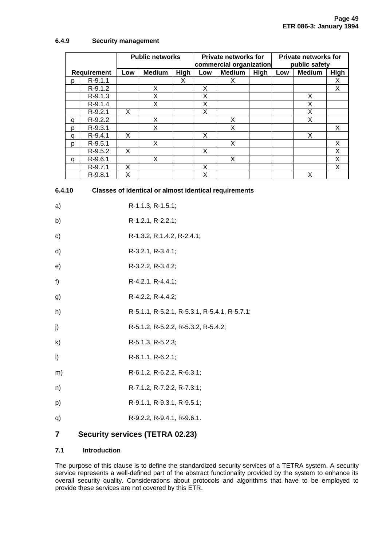|   |             |     | <b>Public networks</b> |             |     | <b>Private networks for</b><br>commercial organization |      | <b>Private networks for</b><br>public safety |               |             |  |
|---|-------------|-----|------------------------|-------------|-----|--------------------------------------------------------|------|----------------------------------------------|---------------|-------------|--|
|   | Requirement | Low | <b>Medium</b>          | <b>High</b> | Low | <b>Medium</b>                                          | High | Low                                          | <b>Medium</b> | <b>High</b> |  |
| р | $R-9.1.1$   |     |                        | Х           |     | X                                                      |      |                                              |               | Χ           |  |
|   | $R-9.1.2$   |     | X                      |             | X   |                                                        |      |                                              |               | X           |  |
|   | $R-9.1.3$   |     | X                      |             | X   |                                                        |      |                                              | X             |             |  |
|   | $R-9.1.4$   |     | X                      |             | X   |                                                        |      |                                              | X             |             |  |
|   | $R-9.2.1$   | X   |                        |             | X   |                                                        |      |                                              | X             |             |  |
| q | $R-9.2.2$   |     | X                      |             |     | X                                                      |      |                                              | X             |             |  |
| p | R-9.3.1     |     | X                      |             |     | X                                                      |      |                                              |               | X           |  |
| q | $R-9.4.1$   | X   |                        |             | X   |                                                        |      |                                              | X             |             |  |
| р | $R-9.5.1$   |     | X                      |             |     | X                                                      |      |                                              |               | X           |  |
|   | $R-9.5.2$   | X   |                        |             | X   |                                                        |      |                                              |               | X           |  |
| q | $R-9.6.1$   |     | X                      |             |     | X                                                      |      |                                              |               | X           |  |
|   | $R-9.7.1$   | X   |                        |             | X   |                                                        |      |                                              |               | X           |  |
|   | $R-9.8.1$   | X   |                        |             | X   |                                                        |      |                                              | X             |             |  |

## **6.4.9 Security management**

## **6.4.10 Classes of identical or almost identical requirements**

| a) | $R-1.1.3, R-1.5.1;$                          |
|----|----------------------------------------------|
| b) | R-1.2.1, R-2.2.1;                            |
| c) | R-1.3.2, R.1.4.2, R-2.4.1;                   |
| d) | R-3.2.1, R-3.4.1;                            |
| e) | R-3.2.2, R-3.4.2;                            |
| f) | R-4.2.1, R-4.4.1;                            |
| g) | R-4.2.2, R-4.4.2;                            |
| h) | R-5.1.1, R-5.2.1, R-5.3.1, R-5.4.1, R-5.7.1; |
| j) | R-5.1.2, R-5.2.2, R-5.3.2, R-5.4.2;          |
| k) | R-5.1.3, R-5.2.3;                            |
| I) | R-6.1.1, R-6.2.1;                            |
| m) | R-6.1.2, R-6.2.2, R-6.3.1;                   |
| n) | R-7.1.2, R-7.2.2, R-7.3.1;                   |
| p) | R-9.1.1, R-9.3.1, R-9.5.1;                   |
| q) | R-9.2.2, R-9.4.1, R-9.6.1.                   |

## **7 Security services (TETRA 02.23)**

## **7.1 Introduction**

The purpose of this clause is to define the standardized security services of a TETRA system. A security service represents a well-defined part of the abstract functionality provided by the system to enhance its overall security quality. Considerations about protocols and algorithms that have to be employed to provide these services are not covered by this ETR.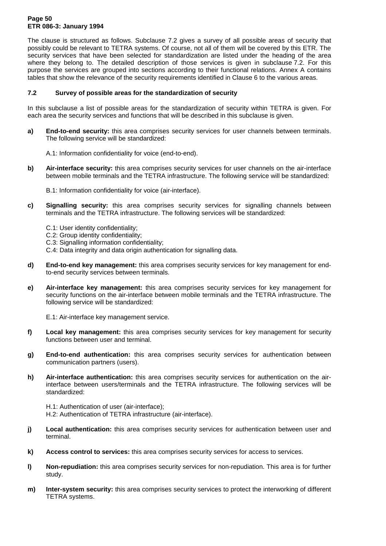## **Page 50 ETR 086-3: January 1994**

The clause is structured as follows. Subclause 7.2 gives a survey of all possible areas of security that possibly could be relevant to TETRA systems. Of course, not all of them will be covered by this ETR. The security services that have been selected for standardization are listed under the heading of the area where they belong to. The detailed description of those services is given in subclause 7.2. For this purpose the services are grouped into sections according to their functional relations. Annex A contains tables that show the relevance of the security requirements identified in Clause 6 to the various areas.

## **7.2 Survey of possible areas for the standardization of security**

In this subclause a list of possible areas for the standardization of security within TETRA is given. For each area the security services and functions that will be described in this subclause is given.

**a) End-to-end security:** this area comprises security services for user channels between terminals. The following service will be standardized:

A.1: Information confidentiality for voice (end-to-end).

**b) Air-interface security:** this area comprises security services for user channels on the air-interface between mobile terminals and the TETRA infrastructure. The following service will be standardized:

B.1: Information confidentiality for voice (air-interface).

- **c) Signalling security:** this area comprises security services for signalling channels between terminals and the TETRA infrastructure. The following services will be standardized:
	- C.1: User identity confidentiality;
	- C.2: Group identity confidentiality;
	- C.3: Signalling information confidentiality;
	- C.4: Data integrity and data origin authentication for signalling data.
- **d) End-to-end key management:** this area comprises security services for key management for endto-end security services between terminals.
- **e) Air-interface key management:** this area comprises security services for key management for security functions on the air-interface between mobile terminals and the TETRA infrastructure. The following service will be standardized:

E.1: Air-interface key management service.

- **f) Local key management:** this area comprises security services for key management for security functions between user and terminal.
- **g) End-to-end authentication:** this area comprises security services for authentication between communication partners (users).
- **h) Air-interface authentication:** this area comprises security services for authentication on the airinterface between users/terminals and the TETRA infrastructure. The following services will be standardized:

H.1: Authentication of user (air-interface); H.2: Authentication of TETRA infrastructure (air-interface).

- **j)** Local authentication: this area comprises security services for authentication between user and terminal.
- **k) Access control to services:** this area comprises security services for access to services.
- **l) Non-repudiation:** this area comprises security services for non-repudiation. This area is for further study.
- **m) Inter-system security:** this area comprises security services to protect the interworking of different TETRA systems.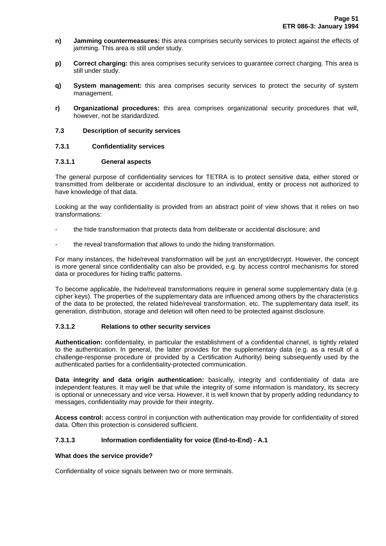- **n) Jamming countermeasures:** this area comprises security services to protect against the effects of jamming. This area is still under study.
- **p) Correct charging:** this area comprises security services to guarantee correct charging. This area is still under study.
- **q) System management:** this area comprises security services to protect the security of system management.
- **r) Organizational procedures:** this area comprises organizational security procedures that will, however, not be standardized.

### **7.3 Description of security services**

### **7.3.1 Confidentiality services**

### **7.3.1.1 General aspects**

The general purpose of confidentiality services for TETRA is to protect sensitive data, either stored or transmitted from deliberate or accidental disclosure to an individual, entity or process not authorized to have knowledge of that data.

Looking at the way confidentiality is provided from an abstract point of view shows that it relies on two transformations:

- the hide transformation that protects data from deliberate or accidental disclosure; and
- the reveal transformation that allows to undo the hiding transformation.

For many instances, the hide/reveal transformation will be just an encrypt/decrypt. However, the concept is more general since confidentiality can also be provided, e.g. by access control mechanisms for stored data or procedures for hiding traffic patterns.

To become applicable, the hide/reveal transformations require in general some supplementary data (e.g. cipher keys). The properties of the supplementary data are influenced among others by the characteristics of the data to be protected, the related hide/reveal transformation, etc. The supplementary data itself, its generation, distribution, storage and deletion will often need to be protected against disclosure.

## **7.3.1.2 Relations to other security services**

**Authentication:** confidentiality, in particular the establishment of a confidential channel, is tightly related to the authentication. In general, the latter provides for the supplementary data (e.g. as a result of a challenge-response procedure or provided by a Certification Authority) being subsequently used by the authenticated parties for a confidentiality-protected communication.

**Data integrity and data origin authentication:** basically, integrity and confidentiality of data are independent features. It may well be that while the integrity of some information is mandatory, its secrecy is optional or unnecessary and vice versa. However, it is well known that by properly adding redundancy to messages, confidentiality may provide for their integrity.

**Access control:** access control in conjunction with authentication may provide for confidentiality of stored data. Often this protection is considered sufficient.

## **7.3.1.3 Information confidentiality for voice (End-to-End) - A.1**

### **What does the service provide?**

Confidentiality of voice signals between two or more terminals.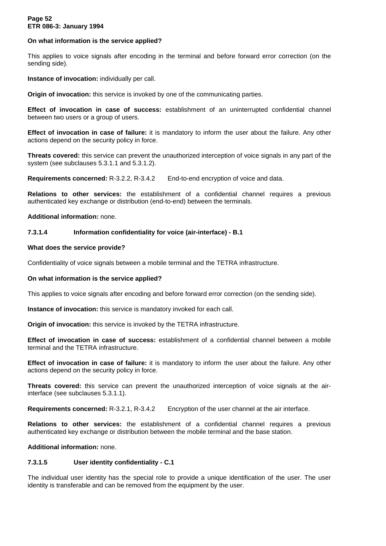## **Page 52 ETR 086-3: January 1994**

### **On what information is the service applied?**

This applies to voice signals after encoding in the terminal and before forward error correction (on the sending side).

**Instance of invocation:** individually per call.

**Origin of invocation:** this service is invoked by one of the communicating parties.

**Effect of invocation in case of success:** establishment of an uninterrupted confidential channel between two users or a group of users.

**Effect of invocation in case of failure:** it is mandatory to inform the user about the failure. Any other actions depend on the security policy in force.

**Threats covered:** this service can prevent the unauthorized interception of voice signals in any part of the system (see subclauses 5.3.1.1 and 5.3.1.2).

**Requirements concerned:** R-3.2.2, R-3.4.2 End-to-end encryption of voice and data.

**Relations to other services:** the establishment of a confidential channel requires a previous authenticated key exchange or distribution (end-to-end) between the terminals.

**Additional information:** none.

### **7.3.1.4 Information confidentiality for voice (air-interface) - B.1**

### **What does the service provide?**

Confidentiality of voice signals between a mobile terminal and the TETRA infrastructure.

### **On what information is the service applied?**

This applies to voice signals after encoding and before forward error correction (on the sending side).

**Instance of invocation:** this service is mandatory invoked for each call.

**Origin of invocation:** this service is invoked by the TETRA infrastructure.

**Effect of invocation in case of success:** establishment of a confidential channel between a mobile terminal and the TETRA infrastructure.

**Effect of invocation in case of failure:** it is mandatory to inform the user about the failure. Any other actions depend on the security policy in force.

**Threats covered:** this service can prevent the unauthorized interception of voice signals at the airinterface (see subclauses 5.3.1.1).

**Requirements concerned:** R-3.2.1, R-3.4.2 Encryption of the user channel at the air interface.

**Relations to other services:** the establishment of a confidential channel requires a previous authenticated key exchange or distribution between the mobile terminal and the base station.

**Additional information:** none.

## **7.3.1.5 User identity confidentiality - C.1**

The individual user identity has the special role to provide a unique identification of the user. The user identity is transferable and can be removed from the equipment by the user.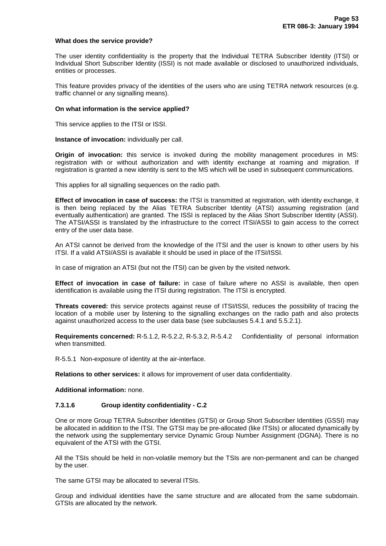#### **What does the service provide?**

The user identity confidentiality is the property that the Individual TETRA Subscriber Identity (ITSI) or Individual Short Subscriber Identity (ISSI) is not made available or disclosed to unauthorized individuals, entities or processes.

This feature provides privacy of the identities of the users who are using TETRA network resources (e.g. traffic channel or any signalling means).

#### **On what information is the service applied?**

This service applies to the ITSI or ISSI.

**Instance of invocation:** individually per call.

**Origin of invocation:** this service is invoked during the mobility management procedures in MS: registration with or without authorization and with identity exchange at roaming and migration. If registration is granted a new identity is sent to the MS which will be used in subsequent communications.

This applies for all signalling sequences on the radio path.

**Effect of invocation in case of success:** the ITSI is transmitted at registration, with identity exchange, it is then being replaced by the Alias TETRA Subscriber Identity (ATSI) assuming registration (and eventually authentication) are granted. The ISSI is replaced by the Alias Short Subscriber Identity (ASSI). The ATSI/ASSI is translated by the infrastructure to the correct ITSI/ASSI to gain access to the correct entry of the user data base.

An ATSI cannot be derived from the knowledge of the ITSI and the user is known to other users by his ITSI. If a valid ATSI/ASSI is available it should be used in place of the ITSI/ISSI.

In case of migration an ATSI (but not the ITSI) can be given by the visited network.

**Effect of invocation in case of failure:** in case of failure where no ASSI is available, then open identification is available using the ITSI during registration. The ITSI is encrypted.

**Threats covered:** this service protects against reuse of ITSI/ISSI, reduces the possibility of tracing the location of a mobile user by listening to the signalling exchanges on the radio path and also protects against unauthorized access to the user data base (see subclauses 5.4.1 and 5.5.2.1).

**Requirements concerned:** R-5.1.2, R-5.2.2, R-5.3.2, R-5.4.2 Confidentiality of personal information when transmitted.

R-5.5.1 Non-exposure of identity at the air-interface.

**Relations to other services:** it allows for improvement of user data confidentiality.

**Additional information:** none.

### **7.3.1.6 Group identity confidentiality - C.2**

One or more Group TETRA Subscriber Identities (GTSI) or Group Short Subscriber Identities (GSSI) may be allocated in addition to the ITSI. The GTSI may be pre-allocated (like ITSIs) or allocated dynamically by the network using the supplementary service Dynamic Group Number Assignment (DGNA). There is no equivalent of the ATSI with the GTSI.

All the TSIs should be held in non-volatile memory but the TSIs are non-permanent and can be changed by the user.

The same GTSI may be allocated to several ITSIs.

Group and individual identities have the same structure and are allocated from the same subdomain. GTSIs are allocated by the network.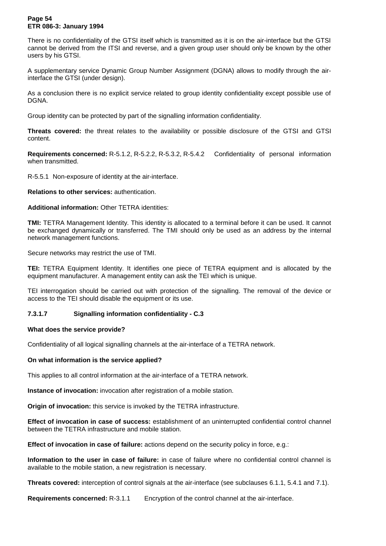## **Page 54 ETR 086-3: January 1994**

There is no confidentiality of the GTSI itself which is transmitted as it is on the air-interface but the GTSI cannot be derived from the ITSI and reverse, and a given group user should only be known by the other users by his GTSI.

A supplementary service Dynamic Group Number Assignment (DGNA) allows to modify through the airinterface the GTSI (under design).

As a conclusion there is no explicit service related to group identity confidentiality except possible use of DGNA.

Group identity can be protected by part of the signalling information confidentiality.

**Threats covered:** the threat relates to the availability or possible disclosure of the GTSI and GTSI content.

**Requirements concerned:** R-5.1.2, R-5.2.2, R-5.3.2, R-5.4.2 Confidentiality of personal information when transmitted.

R-5.5.1 Non-exposure of identity at the air-interface.

**Relations to other services:** authentication.

### **Additional information:** Other TETRA identities:

**TMI:** TETRA Management Identity. This identity is allocated to a terminal before it can be used. It cannot be exchanged dynamically or transferred. The TMI should only be used as an address by the internal network management functions.

Secure networks may restrict the use of TMI.

**TEI:** TETRA Equipment Identity. It identifies one piece of TETRA equipment and is allocated by the equipment manufacturer. A management entity can ask the TEI which is unique.

TEI interrogation should be carried out with protection of the signalling. The removal of the device or access to the TEI should disable the equipment or its use.

## **7.3.1.7 Signalling information confidentiality - C.3**

### **What does the service provide?**

Confidentiality of all logical signalling channels at the air-interface of a TETRA network.

### **On what information is the service applied?**

This applies to all control information at the air-interface of a TETRA network.

**Instance of invocation:** invocation after registration of a mobile station.

**Origin of invocation:** this service is invoked by the TETRA infrastructure.

**Effect of invocation in case of success:** establishment of an uninterrupted confidential control channel between the TETRA infrastructure and mobile station.

**Effect of invocation in case of failure:** actions depend on the security policy in force, e.g.:

**Information to the user in case of failure:** in case of failure where no confidential control channel is available to the mobile station, a new registration is necessary.

**Threats covered:** interception of control signals at the air-interface (see subclauses 6.1.1, 5.4.1 and 7.1).

**Requirements concerned:** R-3.1.1 Encryption of the control channel at the air-interface.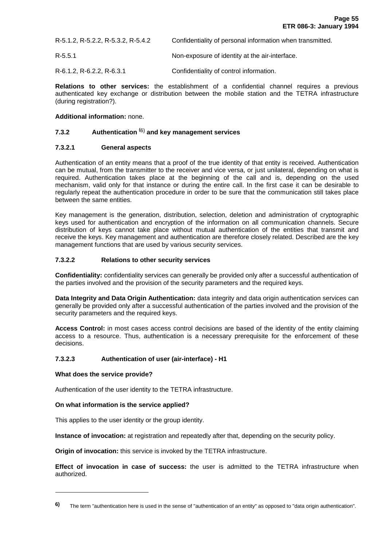R-5.1.2, R-5.2.2, R-5.3.2, R-5.4.2 Confidentiality of personal information when transmitted.

R-5.5.1 Non-exposure of identity at the air-interface.

R-6.1.2, R-6.2.2, R-6.3.1 Confidentiality of control information.

**Relations to other services:** the establishment of a confidential channel requires a previous authenticated key exchange or distribution between the mobile station and the TETRA infrastructure (during registration?).

### **Additional information:** none.

## **7.3.2 Authentication (**6) **and key management services**

### **7.3.2.1 General aspects**

Authentication of an entity means that a proof of the true identity of that entity is received. Authentication can be mutual, from the transmitter to the receiver and vice versa, or just unilateral, depending on what is required. Authentication takes place at the beginning of the call and is, depending on the used mechanism, valid only for that instance or during the entire call. In the first case it can be desirable to regularly repeat the authentication procedure in order to be sure that the communication still takes place between the same entities.

Key management is the generation, distribution, selection, deletion and administration of cryptographic keys used for authentication and encryption of the information on all communication channels. Secure distribution of keys cannot take place without mutual authentication of the entities that transmit and receive the keys. Key management and authentication are therefore closely related. Described are the key management functions that are used by various security services.

### **7.3.2.2 Relations to other security services**

**Confidentiality:** confidentiality services can generally be provided only after a successful authentication of the parties involved and the provision of the security parameters and the required keys.

**Data Integrity and Data Origin Authentication:** data integrity and data origin authentication services can generally be provided only after a successful authentication of the parties involved and the provision of the security parameters and the required keys.

**Access Control:** in most cases access control decisions are based of the identity of the entity claiming access to a resource. Thus, authentication is a necessary prerequisite for the enforcement of these decisions.

### **7.3.2.3 Authentication of user (air-interface) - H1**

#### **What does the service provide?**

 $\overline{a}$ 

Authentication of the user identity to the TETRA infrastructure.

### **On what information is the service applied?**

This applies to the user identity or the group identity.

**Instance of invocation:** at registration and repeatedly after that, depending on the security policy.

**Origin of invocation:** this service is invoked by the TETRA infrastructure.

**Effect of invocation in case of success:** the user is admitted to the TETRA infrastructure when authorized.

**<sup>6)</sup>** The term "authentication here is used in the sense of "authentication of an entity" as opposed to "data origin authentication".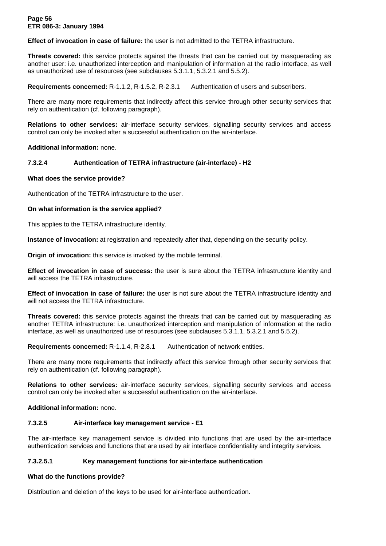## **Page 56 ETR 086-3: January 1994**

**Effect of invocation in case of failure:** the user is not admitted to the TETRA infrastructure.

**Threats covered:** this service protects against the threats that can be carried out by masquerading as another user: i.e. unauthorized interception and manipulation of information at the radio interface, as well as unauthorized use of resources (see subclauses 5.3.1.1, 5.3.2.1 and 5.5.2).

**Requirements concerned:** R-1.1.2, R-1.5.2, R-2.3.1 Authentication of users and subscribers.

There are many more requirements that indirectly affect this service through other security services that rely on authentication (cf. following paragraph).

**Relations to other services:** air-interface security services, signalling security services and access control can only be invoked after a successful authentication on the air-interface.

**Additional information:** none.

## **7.3.2.4 Authentication of TETRA infrastructure (air-interface) - H2**

### **What does the service provide?**

Authentication of the TETRA infrastructure to the user.

### **On what information is the service applied?**

This applies to the TETRA infrastructure identity.

**Instance of invocation:** at registration and repeatedly after that, depending on the security policy.

**Origin of invocation:** this service is invoked by the mobile terminal.

**Effect of invocation in case of success:** the user is sure about the TETRA infrastructure identity and will access the TETRA infrastructure.

**Effect of invocation in case of failure:** the user is not sure about the TETRA infrastructure identity and will not access the TETRA infrastructure.

**Threats covered:** this service protects against the threats that can be carried out by masquerading as another TETRA infrastructure: i.e. unauthorized interception and manipulation of information at the radio interface, as well as unauthorized use of resources (see subclauses 5.3.1.1, 5.3.2.1 and 5.5.2).

**Requirements concerned:** R-1.1.4, R-2.8.1 Authentication of network entities.

There are many more requirements that indirectly affect this service through other security services that rely on authentication (cf. following paragraph).

**Relations to other services:** air-interface security services, signalling security services and access control can only be invoked after a successful authentication on the air-interface.

**Additional information:** none.

## **7.3.2.5 Air-interface key management service - E1**

The air-interface key management service is divided into functions that are used by the air-interface authentication services and functions that are used by air interface confidentiality and integrity services.

## **7.3.2.5.1 Key management functions for air-interface authentication**

### **What do the functions provide?**

Distribution and deletion of the keys to be used for air-interface authentication.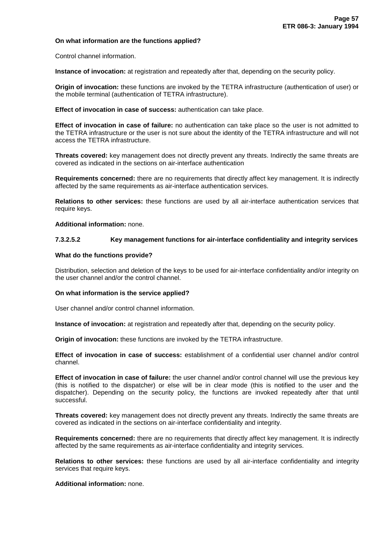### **On what information are the functions applied?**

Control channel information.

**Instance of invocation:** at registration and repeatedly after that, depending on the security policy.

**Origin of invocation:** these functions are invoked by the TETRA infrastructure (authentication of user) or the mobile terminal (authentication of TETRA infrastructure).

**Effect of invocation in case of success:** authentication can take place.

**Effect of invocation in case of failure:** no authentication can take place so the user is not admitted to the TETRA infrastructure or the user is not sure about the identity of the TETRA infrastructure and will not access the TETRA infrastructure.

**Threats covered:** key management does not directly prevent any threats. Indirectly the same threats are covered as indicated in the sections on air-interface authentication

**Requirements concerned:** there are no requirements that directly affect key management. It is indirectly affected by the same requirements as air-interface authentication services.

**Relations to other services:** these functions are used by all air-interface authentication services that require keys.

**Additional information:** none.

### **7.3.2.5.2 Key management functions for air-interface confidentiality and integrity services**

### **What do the functions provide?**

Distribution, selection and deletion of the keys to be used for air-interface confidentiality and/or integrity on the user channel and/or the control channel.

### **On what information is the service applied?**

User channel and/or control channel information.

**Instance of invocation:** at registration and repeatedly after that, depending on the security policy.

**Origin of invocation:** these functions are invoked by the TETRA infrastructure.

**Effect of invocation in case of success:** establishment of a confidential user channel and/or control channel.

**Effect of invocation in case of failure:** the user channel and/or control channel will use the previous key (this is notified to the dispatcher) or else will be in clear mode (this is notified to the user and the dispatcher). Depending on the security policy, the functions are invoked repeatedly after that until successful.

**Threats covered:** key management does not directly prevent any threats. Indirectly the same threats are covered as indicated in the sections on air-interface confidentiality and integrity.

**Requirements concerned:** there are no requirements that directly affect key management. It is indirectly affected by the same requirements as air-interface confidentiality and integrity services.

**Relations to other services:** these functions are used by all air-interface confidentiality and integrity services that require keys.

**Additional information:** none.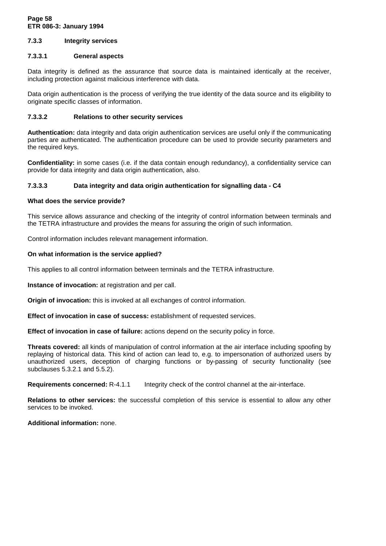## **Page 58 ETR 086-3: January 1994**

### **7.3.3 Integrity services**

### **7.3.3.1 General aspects**

Data integrity is defined as the assurance that source data is maintained identically at the receiver, including protection against malicious interference with data.

Data origin authentication is the process of verifying the true identity of the data source and its eligibility to originate specific classes of information.

## **7.3.3.2 Relations to other security services**

**Authentication:** data integrity and data origin authentication services are useful only if the communicating parties are authenticated. The authentication procedure can be used to provide security parameters and the required keys.

**Confidentiality:** in some cases (i.e. if the data contain enough redundancy), a confidentiality service can provide for data integrity and data origin authentication, also.

## **7.3.3.3 Data integrity and data origin authentication for signalling data - C4**

## **What does the service provide?**

This service allows assurance and checking of the integrity of control information between terminals and the TETRA infrastructure and provides the means for assuring the origin of such information.

Control information includes relevant management information.

### **On what information is the service applied?**

This applies to all control information between terminals and the TETRA infrastructure.

**Instance of invocation:** at registration and per call.

**Origin of invocation:** this is invoked at all exchanges of control information.

**Effect of invocation in case of success:** establishment of requested services.

**Effect of invocation in case of failure:** actions depend on the security policy in force.

**Threats covered:** all kinds of manipulation of control information at the air interface including spoofing by replaying of historical data. This kind of action can lead to, e.g. to impersonation of authorized users by unauthorized users, deception of charging functions or by-passing of security functionality (see subclauses 5.3.2.1 and 5.5.2).

**Requirements concerned:** R-4.1.1 Integrity check of the control channel at the air-interface.

**Relations to other services:** the successful completion of this service is essential to allow any other services to be invoked.

**Additional information:** none.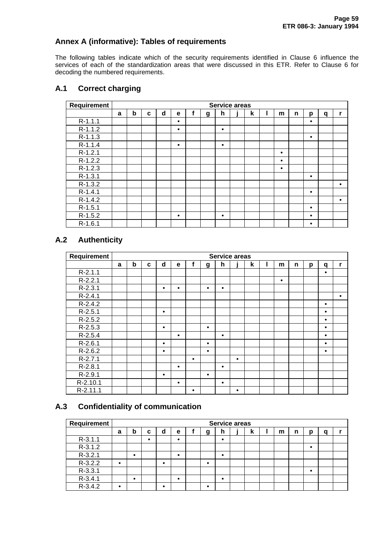## **Annex A (informative): Tables of requirements**

The following tables indicate which of the security requirements identified in Clause 6 influence the services of each of the standardization areas that were discussed in this ETR. Refer to Clause 6 for decoding the numbered requirements.

## **A.1 Correct charging**

| Requirement |   |   |   |   |           |   |           | Service areas |   |           |   |           |   |           |
|-------------|---|---|---|---|-----------|---|-----------|---------------|---|-----------|---|-----------|---|-----------|
|             | a | b | C | d | е         | g | h         |               | k | m         | n | p         | q |           |
| $R-1.1.1$   |   |   |   |   | ٠         |   |           |               |   |           |   | ٠         |   |           |
| $R-1.1.2$   |   |   |   |   | ٠         |   | $\bullet$ |               |   |           |   |           |   |           |
| $R-1.1.3$   |   |   |   |   |           |   |           |               |   |           |   | ٠         |   |           |
| $R-1.1.4$   |   |   |   |   | ٠         |   | $\bullet$ |               |   |           |   |           |   |           |
| $R-1.2.1$   |   |   |   |   |           |   |           |               |   | $\bullet$ |   |           |   |           |
| $R-1.2.2$   |   |   |   |   |           |   |           |               |   | ٠         |   |           |   |           |
| $R-1.2.3$   |   |   |   |   |           |   |           |               |   | $\bullet$ |   |           |   |           |
| $R-1.3.1$   |   |   |   |   |           |   |           |               |   |           |   | ٠         |   |           |
| $R-1.3.2$   |   |   |   |   |           |   |           |               |   |           |   |           |   | $\bullet$ |
| $R-1.4.1$   |   |   |   |   |           |   |           |               |   |           |   | ٠         |   |           |
| $R-1.4.2$   |   |   |   |   |           |   |           |               |   |           |   |           |   | ٠         |
| $R-1.5.1$   |   |   |   |   |           |   |           |               |   |           |   | ٠         |   |           |
| $R-1.5.2$   |   |   |   |   | $\bullet$ |   | $\bullet$ |               |   |           |   |           |   |           |
| $R-1.6.1$   |   |   |   |   |           |   |           |               |   |           |   | $\bullet$ |   |           |

## **A.2 Authenticity**

| <b>Requirement</b> |   |   |   |   |           |           |           |           | Service areas |   |   |   |   |           |   |
|--------------------|---|---|---|---|-----------|-----------|-----------|-----------|---------------|---|---|---|---|-----------|---|
|                    | a | b | C | d | e         | f         | g         | h         |               | k | m | n | р | q         | r |
| $R-2.1.1$          |   |   |   |   |           |           |           |           |               |   |   |   |   |           |   |
| $R-2.2.1$          |   |   |   |   |           |           |           |           |               |   | ٠ |   |   |           |   |
| $R-2.3.1$          |   |   |   | ٠ |           |           | ٠         | $\bullet$ |               |   |   |   |   |           |   |
| $R-2.4.1$          |   |   |   |   |           |           |           |           |               |   |   |   |   |           | ٠ |
| $R-2.4.2$          |   |   |   |   |           |           |           |           |               |   |   |   |   | $\bullet$ |   |
| $R-2.5.1$          |   |   |   | ٠ |           |           |           |           |               |   |   |   |   | ٠         |   |
| $R-2.5.2$          |   |   |   |   |           |           |           |           |               |   |   |   |   | $\bullet$ |   |
| $R-2.5.3$          |   |   |   | ٠ |           |           | $\bullet$ |           |               |   |   |   |   | $\bullet$ |   |
| $R-2.5.4$          |   |   |   |   | $\bullet$ |           |           | ٠         |               |   |   |   |   | $\bullet$ |   |
| $R-2.6.1$          |   |   |   | ٠ |           |           | ٠         |           |               |   |   |   |   | $\bullet$ |   |
| $R-2.6.2$          |   |   |   | ٠ |           |           | $\bullet$ |           |               |   |   |   |   | $\bullet$ |   |
| $R-2.7.1$          |   |   |   |   |           | $\bullet$ |           |           | $\bullet$     |   |   |   |   |           |   |
| $R-2.8.1$          |   |   |   |   | ٠         |           |           | ٠         |               |   |   |   |   |           |   |
| $R-2.9.1$          |   |   |   | ٠ |           |           |           |           |               |   |   |   |   |           |   |
| $R-2.10.1$         |   |   |   |   |           |           |           | $\bullet$ |               |   |   |   |   |           |   |
| R-2.11.1           |   |   |   |   |           | ٠         |           |           | $\bullet$     |   |   |   |   |           |   |

## **A.3 Confidentiality of communication**

| Requirement |           |           |           |   |           |   |           | <b>Service areas</b> |   |   |   |   |   |  |
|-------------|-----------|-----------|-----------|---|-----------|---|-----------|----------------------|---|---|---|---|---|--|
|             | a         | b         | C         | d | e         | g | h         |                      | k | m | n | n | O |  |
| $R - 3.1.1$ |           |           | $\bullet$ |   | $\bullet$ |   | $\bullet$ |                      |   |   |   |   |   |  |
| $R-3.1.2$   |           |           |           |   |           |   |           |                      |   |   |   |   |   |  |
| $R - 3.2.1$ |           | $\bullet$ |           |   |           |   | ٠         |                      |   |   |   |   |   |  |
| $R-3.2.2$   | $\bullet$ |           |           |   |           | ٠ |           |                      |   |   |   |   |   |  |
| $R - 3.3.1$ |           |           |           |   |           |   |           |                      |   |   |   |   |   |  |
| $R - 3.4.1$ |           | $\bullet$ |           |   |           |   | $\bullet$ |                      |   |   |   |   |   |  |
| $R-3.4.2$   | ٠         |           |           |   |           |   |           |                      |   |   |   |   |   |  |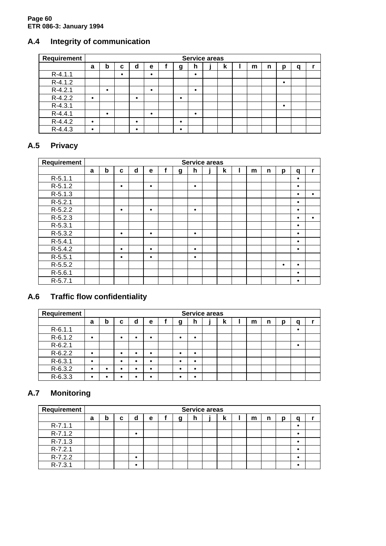## **A.4 Integrity of communication**

| Requirement |           | Service areas |           |           |   |  |           |           |  |   |  |   |   |   |   |  |
|-------------|-----------|---------------|-----------|-----------|---|--|-----------|-----------|--|---|--|---|---|---|---|--|
|             | a         | b             | C         | d         | е |  | g         | h         |  | k |  | m | n | D | α |  |
| $R-4.1.1$   |           |               | $\bullet$ |           | ٠ |  |           | $\bullet$ |  |   |  |   |   |   |   |  |
| $R-4.1.2$   |           |               |           |           |   |  |           |           |  |   |  |   |   |   |   |  |
| $R-4.2.1$   |           | ٠             |           |           | ٠ |  |           | $\bullet$ |  |   |  |   |   |   |   |  |
| $R-4.2.2$   | $\bullet$ |               |           | $\bullet$ |   |  | $\bullet$ |           |  |   |  |   |   |   |   |  |
| $R-4.3.1$   |           |               |           |           |   |  |           |           |  |   |  |   |   |   |   |  |
| $R-4.4.1$   |           | ٠             |           |           |   |  |           | $\bullet$ |  |   |  |   |   |   |   |  |
| $R-4.4.2$   | $\bullet$ |               |           | ٠         |   |  | $\bullet$ |           |  |   |  |   |   |   |   |  |
| $R-4.4.3$   | ٠         |               |           |           |   |  |           |           |  |   |  |   |   |   |   |  |

## **A.5 Privacy**

| Requirement |   |   |           |   |           |   |   | <b>Service areas</b> |   |   |   |   |           |   |
|-------------|---|---|-----------|---|-----------|---|---|----------------------|---|---|---|---|-----------|---|
|             | a | b | C         | d | е         | f | g | h                    | k | m | n | D | a         | r |
| $R-5.1.1$   |   |   |           |   |           |   |   |                      |   |   |   |   | ٠         |   |
| $R-5.1.2$   |   |   | $\bullet$ |   | $\bullet$ |   |   | $\bullet$            |   |   |   |   | $\bullet$ |   |
| $R-5.1.3$   |   |   |           |   |           |   |   |                      |   |   |   |   | ٠         |   |
| $R-5.2.1$   |   |   |           |   |           |   |   |                      |   |   |   |   | $\bullet$ |   |
| $R-5.2.2$   |   |   | $\bullet$ |   | ٠         |   |   | ٠                    |   |   |   |   | ٠         |   |
| $R-5.2.3$   |   |   |           |   |           |   |   |                      |   |   |   |   | ٠         | ٠ |
| $R-5.3.1$   |   |   |           |   |           |   |   |                      |   |   |   |   | ٠         |   |
| $R-5.3.2$   |   |   | ٠         |   | $\bullet$ |   |   | $\bullet$            |   |   |   |   | $\bullet$ |   |
| $R-5.4.1$   |   |   |           |   |           |   |   |                      |   |   |   |   | ٠         |   |
| $R-5.4.2$   |   |   | $\bullet$ |   |           |   |   | $\bullet$            |   |   |   |   | $\bullet$ |   |
| $R-5.5.1$   |   |   | ٠         |   | $\bullet$ |   |   | $\bullet$            |   |   |   |   |           |   |
| $R-5.5.2$   |   |   |           |   |           |   |   |                      |   |   |   | ٠ | ٠         |   |
| $R-5.6.1$   |   |   |           |   |           |   |   |                      |   |   |   |   | ٠         |   |
| $R-5.7.1$   |   |   |           |   |           |   |   |                      |   |   |   |   | $\bullet$ |   |

## **A.6 Traffic flow confidentiality**

| <b>Requirement</b> |           |   |           |   |           |           | <b>Service areas</b> |   |   |   |           |  |
|--------------------|-----------|---|-----------|---|-----------|-----------|----------------------|---|---|---|-----------|--|
|                    | a         | b | C         | d | е         | g         | h                    | k | m | n | O         |  |
| $R-6.1.1$          |           |   |           |   |           |           |                      |   |   |   | $\bullet$ |  |
| $R-6.1.2$          | $\bullet$ |   | ٠         |   | $\bullet$ | $\bullet$ | $\bullet$            |   |   |   |           |  |
| $R-6.2.1$          |           |   |           |   |           |           |                      |   |   |   | $\bullet$ |  |
| $R-6.2.2$          | $\bullet$ |   | $\bullet$ |   | $\bullet$ | $\bullet$ | $\bullet$            |   |   |   |           |  |
| $R-6.3.1$          | $\bullet$ |   | $\bullet$ |   | ٠         | $\bullet$ | $\bullet$            |   |   |   |           |  |
| $R-6.3.2$          | $\bullet$ |   |           | ٠ | $\bullet$ | ٠         | $\bullet$            |   |   |   |           |  |
| $R - 6.3.3$        |           |   |           | ٠ | ٠         | ٠         | $\bullet$            |   |   |   |           |  |

## **A.7 Monitoring**

| Requirement |   | <b>Service areas</b> |   |   |   |  |   |   |  |   |  |   |   |   |  |
|-------------|---|----------------------|---|---|---|--|---|---|--|---|--|---|---|---|--|
|             | а | b                    | c | a | е |  | a | h |  | ĸ |  | m | n | α |  |
| $R - 7.1.1$ |   |                      |   |   |   |  |   |   |  |   |  |   |   |   |  |
| R-7.1.2     |   |                      |   |   |   |  |   |   |  |   |  |   |   |   |  |
| $R - 7.1.3$ |   |                      |   |   |   |  |   |   |  |   |  |   |   |   |  |
| $R - 7.2.1$ |   |                      |   |   |   |  |   |   |  |   |  |   |   |   |  |
| $R - 7.2.2$ |   |                      |   |   |   |  |   |   |  |   |  |   |   |   |  |
| $R - 7.3.1$ |   |                      |   |   |   |  |   |   |  |   |  |   |   |   |  |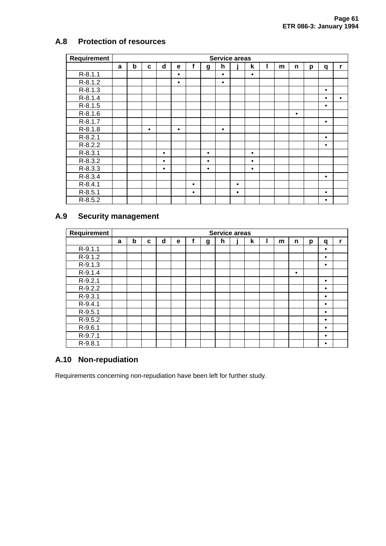## **A.8 Protection of resources**

| Requirement |   |   |           |           |           |           |           |              | <b>Service areas</b> |           |   |           |   |           |   |
|-------------|---|---|-----------|-----------|-----------|-----------|-----------|--------------|----------------------|-----------|---|-----------|---|-----------|---|
|             | a | b | C         | d         | е         | f         | g         | $\mathsf{h}$ |                      | k         | m | n         | р | q         | r |
| $R-8.1.1$   |   |   |           |           | ٠         |           |           | $\bullet$    |                      | $\bullet$ |   |           |   |           |   |
| $R-8.1.2$   |   |   |           |           | ٠         |           |           | $\bullet$    |                      |           |   |           |   |           |   |
| $R - 8.1.3$ |   |   |           |           |           |           |           |              |                      |           |   |           |   | ٠         |   |
| $R-8.1.4$   |   |   |           |           |           |           |           |              |                      |           |   |           |   | $\bullet$ | ٠ |
| $R-8.1.5$   |   |   |           |           |           |           |           |              |                      |           |   |           |   | $\bullet$ |   |
| $R-8.1.6$   |   |   |           |           |           |           |           |              |                      |           |   | $\bullet$ |   |           |   |
| $R-8.1.7$   |   |   |           |           |           |           |           |              |                      |           |   |           |   | $\bullet$ |   |
| $R-8.1.8$   |   |   | $\bullet$ |           | $\bullet$ |           |           | $\bullet$    |                      |           |   |           |   |           |   |
| $R-8.2.1$   |   |   |           |           |           |           |           |              |                      |           |   |           |   | $\bullet$ |   |
| $R-8.2.2$   |   |   |           |           |           |           |           |              |                      |           |   |           |   | $\bullet$ |   |
| $R-8.3.1$   |   |   |           | ٠         |           |           | $\bullet$ |              |                      | $\bullet$ |   |           |   |           |   |
| $R - 8.3.2$ |   |   |           | ٠         |           |           | $\bullet$ |              |                      | $\bullet$ |   |           |   |           |   |
| $R - 8.3.3$ |   |   |           | $\bullet$ |           |           | $\bullet$ |              |                      | $\bullet$ |   |           |   |           |   |
| $R - 8.3.4$ |   |   |           |           |           |           |           |              |                      |           |   |           |   | $\bullet$ |   |
| $R-8.4.1$   |   |   |           |           |           | $\bullet$ |           |              | ٠                    |           |   |           |   |           |   |
| $R-8.5.1$   |   |   |           |           |           | $\bullet$ |           |              | ٠                    |           |   |           |   | $\bullet$ |   |
| $R-8.5.2$   |   |   |           |           |           |           |           |              |                      |           |   |           |   | ٠         |   |

## **A.9 Security management**

| Requirement |   |   |   |   |   |   | <b>Service areas</b> |   |   |           |   |           |   |
|-------------|---|---|---|---|---|---|----------------------|---|---|-----------|---|-----------|---|
|             | a | b | c | d | е | g | h                    | k | m | n         | p | q         | r |
| $R-9.1.1$   |   |   |   |   |   |   |                      |   |   |           |   | ٠         |   |
| $R-9.1.2$   |   |   |   |   |   |   |                      |   |   |           |   | ٠         |   |
| R-9.1.3     |   |   |   |   |   |   |                      |   |   |           |   | $\bullet$ |   |
| $R-9.1.4$   |   |   |   |   |   |   |                      |   |   | $\bullet$ |   |           |   |
| $R-9.2.1$   |   |   |   |   |   |   |                      |   |   |           |   | ٠         |   |
| R-9.2.2     |   |   |   |   |   |   |                      |   |   |           |   | $\bullet$ |   |
| R-9.3.1     |   |   |   |   |   |   |                      |   |   |           |   | $\bullet$ |   |
| R-9.4.1     |   |   |   |   |   |   |                      |   |   |           |   | ٠         |   |
| $R-9.5.1$   |   |   |   |   |   |   |                      |   |   |           |   | $\bullet$ |   |
| $R-9.5.2$   |   |   |   |   |   |   |                      |   |   |           |   | ٠         |   |
| $R-9.6.1$   |   |   |   |   |   |   |                      |   |   |           |   | $\bullet$ |   |
| R-9.7.1     |   |   |   |   |   |   |                      |   |   |           |   | ٠         |   |
| R-9.8.1     |   |   |   |   |   |   |                      |   |   |           |   | ٠         |   |

## **A.10 Non-repudiation**

Requirements concerning non-repudiation have been left for further study.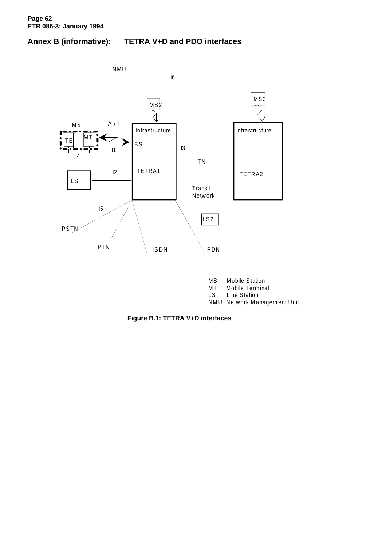**Annex B (informative): TETRA V+D and PDO interfaces**



MS Mobile Station MT Mobile Terminal<br>LS Line Station Line Station NMU Network Management Unit

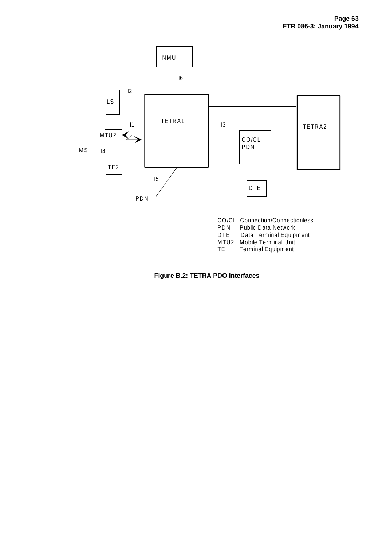

- CO/CL Connection/Connectionless<br>PDN Public Data Network Public Data Network
- D TE D ata Term inal E quipm ent
- M TU 2 M obile Term inal U nit
- TE Term inal E quipm ent

**Figure B.2: TETRA PDO interfaces**